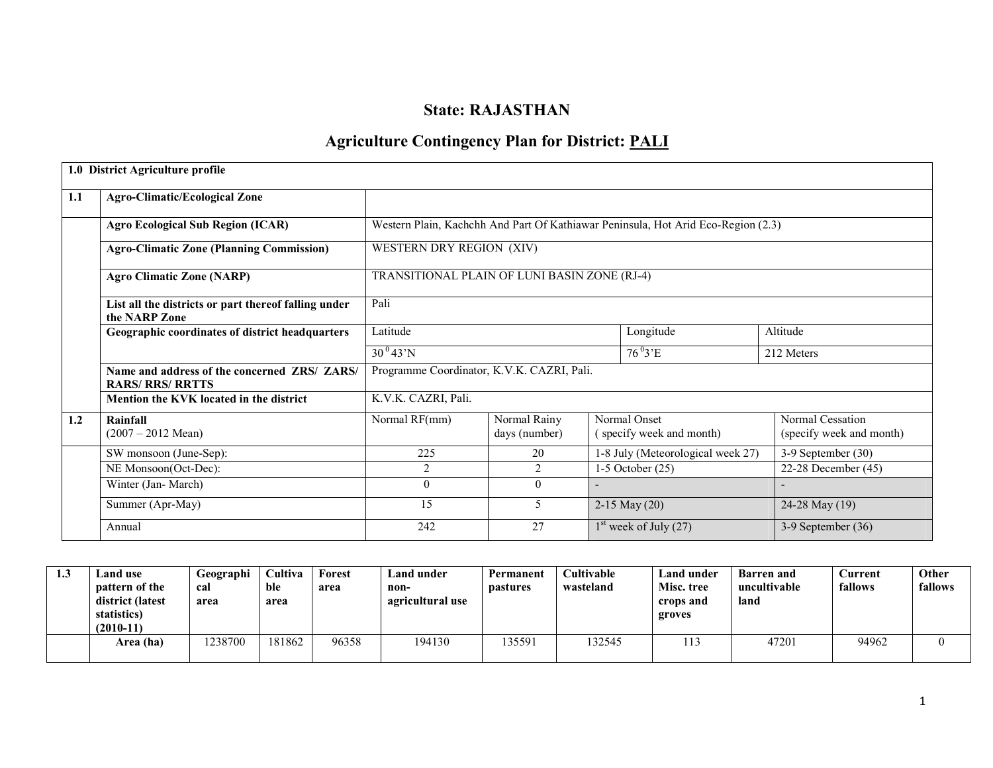# State: RAJASTHAN

# Agriculture Contingency Plan for District: **PALI**

|     | 1.0 District Agriculture profile                                      |                                              |                               |  |                                                                                   |                                              |  |  |
|-----|-----------------------------------------------------------------------|----------------------------------------------|-------------------------------|--|-----------------------------------------------------------------------------------|----------------------------------------------|--|--|
| 1.1 | <b>Agro-Climatic/Ecological Zone</b>                                  |                                              |                               |  |                                                                                   |                                              |  |  |
|     | <b>Agro Ecological Sub Region (ICAR)</b>                              |                                              |                               |  | Western Plain, Kachchh And Part Of Kathiawar Peninsula, Hot Arid Eco-Region (2.3) |                                              |  |  |
|     | <b>Agro-Climatic Zone (Planning Commission)</b>                       | WESTERN DRY REGION (XIV)                     |                               |  |                                                                                   |                                              |  |  |
|     | <b>Agro Climatic Zone (NARP)</b>                                      | TRANSITIONAL PLAIN OF LUNI BASIN ZONE (RJ-4) |                               |  |                                                                                   |                                              |  |  |
|     | List all the districts or part thereof falling under<br>the NARP Zone | Pali                                         |                               |  |                                                                                   |                                              |  |  |
|     | Geographic coordinates of district headquarters                       | Latitude                                     |                               |  | Longitude                                                                         | Altitude                                     |  |  |
|     |                                                                       | $30^{0}43'N$                                 |                               |  | $76^{0}3'E$                                                                       | 212 Meters                                   |  |  |
|     | Name and address of the concerned ZRS/ ZARS/<br><b>RARS/RRS/RRTTS</b> | Programme Coordinator, K.V.K. CAZRI, Pali.   |                               |  |                                                                                   |                                              |  |  |
|     | Mention the KVK located in the district                               | K.V.K. CAZRI, Pali.                          |                               |  |                                                                                   |                                              |  |  |
| 1.2 | Rainfall<br>$(2007 - 2012 \text{ Mean})$                              | Normal RF(mm)                                | Normal Rainy<br>days (number) |  | Normal Onset<br>(specify week and month)                                          | Normal Cessation<br>(specify week and month) |  |  |
|     | SW monsoon (June-Sep):                                                | 225                                          | 20                            |  | 1-8 July (Meteorological week 27)                                                 | 3-9 September (30)                           |  |  |
|     | NE Monsoon(Oct-Dec):                                                  | 2                                            | 2                             |  | $1-5$ October $(25)$                                                              | 22-28 December (45)                          |  |  |
|     | Winter (Jan-March)                                                    | $\theta$                                     | $\theta$                      |  |                                                                                   |                                              |  |  |
|     | Summer (Apr-May)                                                      | 15                                           | 5                             |  | $2-15$ May $(20)$                                                                 | 24-28 May (19)                               |  |  |
|     | Annual                                                                | 242                                          | 27                            |  | $1st$ week of July (27)                                                           | $3-9$ September $(36)$                       |  |  |

| 1.3 | Land use<br><b>pattern of the</b><br>district (latest<br>statistics)<br>$(2010-11)$ | Geographi<br>cal<br>area | `ultiva<br>ble<br>area | <b>Forest</b><br>area | Land under<br>non-<br>agricultural use | Permanent<br><i>pastures</i> | <b>Cultivable</b><br>wasteland | Land under<br>Misc. tree<br>crops and<br>groves | <b>Barren</b> and<br>uncultivable<br>land | Current<br>fallows | Other<br>fallows |
|-----|-------------------------------------------------------------------------------------|--------------------------|------------------------|-----------------------|----------------------------------------|------------------------------|--------------------------------|-------------------------------------------------|-------------------------------------------|--------------------|------------------|
|     | Area (ha)                                                                           | 1238700                  | 181862                 | 96358                 | 194130                                 | 135591                       | 132545                         | 113                                             | 47201                                     | 94962              |                  |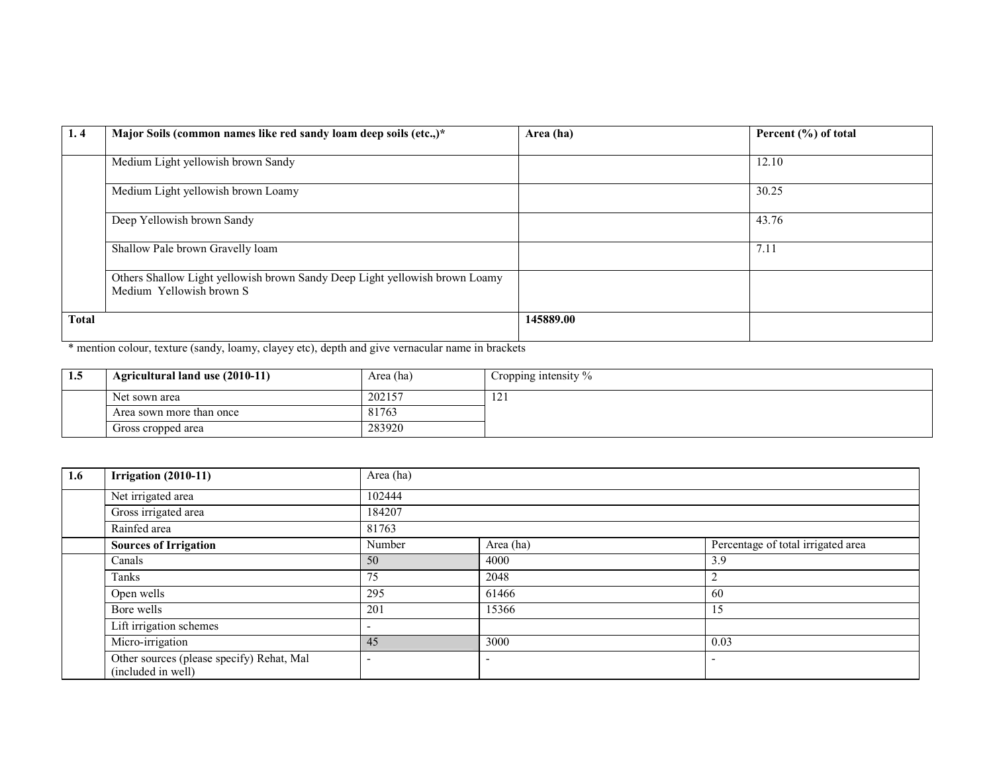| 1, 4         | Major Soils (common names like red sandy loam deep soils (etc.,)*           | Area (ha) | Percent (%) of total |
|--------------|-----------------------------------------------------------------------------|-----------|----------------------|
|              |                                                                             |           |                      |
|              | Medium Light yellowish brown Sandy                                          |           | 12.10                |
|              |                                                                             |           |                      |
|              | Medium Light yellowish brown Loamy                                          |           | 30.25                |
|              |                                                                             |           |                      |
|              | Deep Yellowish brown Sandy                                                  |           | 43.76                |
|              |                                                                             |           |                      |
|              | Shallow Pale brown Gravelly loam                                            |           | 7.11                 |
|              |                                                                             |           |                      |
|              | Others Shallow Light yellowish brown Sandy Deep Light yellowish brown Loamy |           |                      |
|              | Medium Yellowish brown S                                                    |           |                      |
|              |                                                                             |           |                      |
| <b>Total</b> |                                                                             | 145889.00 |                      |
|              |                                                                             |           |                      |

\* mention colour, texture (sandy, loamy, clayey etc), depth and give vernacular name in brackets

| 1.5 | Agricultural land use (2010-11) | Area (ha) | Cropping intensity $\%$ |  |
|-----|---------------------------------|-----------|-------------------------|--|
|     | Net sown area                   | 202157    | $\overline{1}$          |  |
|     | Area sown more than once        | 81763     |                         |  |
|     | Gross cropped area              | 283920    |                         |  |

| 1.6 | <b>Irrigation (2010-11)</b>                                     | Area (ha) |           |                                    |  |  |  |  |  |
|-----|-----------------------------------------------------------------|-----------|-----------|------------------------------------|--|--|--|--|--|
|     | Net irrigated area                                              | 102444    |           |                                    |  |  |  |  |  |
|     | Gross irrigated area                                            | 184207    |           |                                    |  |  |  |  |  |
|     | Rainfed area                                                    | 81763     |           |                                    |  |  |  |  |  |
|     | <b>Sources of Irrigation</b>                                    | Number    | Area (ha) | Percentage of total irrigated area |  |  |  |  |  |
|     | Canals                                                          | 50        | 4000      | 3.9                                |  |  |  |  |  |
|     | Tanks                                                           | 75        | 2048      | ∠                                  |  |  |  |  |  |
|     | Open wells                                                      | 295       | 61466     | 60                                 |  |  |  |  |  |
|     | Bore wells                                                      | 201       | 15366     | 15                                 |  |  |  |  |  |
|     | Lift irrigation schemes                                         |           |           |                                    |  |  |  |  |  |
|     | Micro-irrigation                                                | 45        | 3000      | 0.03                               |  |  |  |  |  |
|     | Other sources (please specify) Rehat, Mal<br>(included in well) |           |           |                                    |  |  |  |  |  |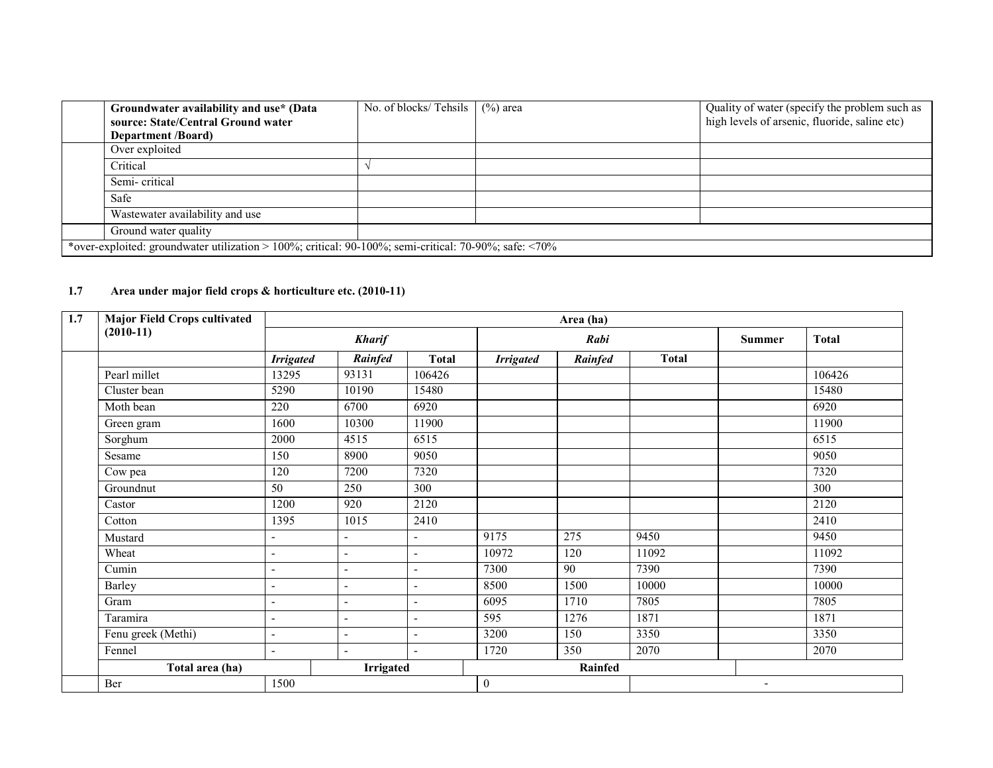| Groundwater availability and use* (Data<br>source: State/Central Ground water                         | No. of blocks/ Tehsils $(%)$ area | Quality of water (specify the problem such as<br>high levels of arsenic, fluoride, saline etc) |
|-------------------------------------------------------------------------------------------------------|-----------------------------------|------------------------------------------------------------------------------------------------|
| <b>Department</b> / <b>Board</b> )                                                                    |                                   |                                                                                                |
| Over exploited                                                                                        |                                   |                                                                                                |
| Critical                                                                                              |                                   |                                                                                                |
| Semi-critical                                                                                         |                                   |                                                                                                |
| Safe                                                                                                  |                                   |                                                                                                |
| Wastewater availability and use                                                                       |                                   |                                                                                                |
| Ground water quality                                                                                  |                                   |                                                                                                |
| *over-exploited: groundwater utilization > 100%; critical: 90-100%; semi-critical: 70-90%; safe: <70% |                                   |                                                                                                |

## 1.7 Area under major field crops & horticulture etc. (2010-11)

| 1.7 | <b>Major Field Crops cultivated</b> | Area (ha)                |                          |                          |                  |         |              |                          |                  |
|-----|-------------------------------------|--------------------------|--------------------------|--------------------------|------------------|---------|--------------|--------------------------|------------------|
|     | $(2010-11)$                         | <b>Kharif</b>            |                          |                          |                  | Rabi    |              |                          | <b>Total</b>     |
|     |                                     | <b>Irrigated</b>         | Rainfed                  | <b>Total</b>             | <b>Irrigated</b> | Rainfed | <b>Total</b> |                          |                  |
|     | Pearl millet                        | 13295                    | 93131                    | 106426                   |                  |         |              |                          | 106426           |
|     | Cluster bean                        | 5290                     | 10190                    | 15480                    |                  |         |              |                          | 15480            |
|     | Moth bean                           | 220                      | 6700                     | 6920                     |                  |         |              |                          | 6920             |
|     | Green gram                          | 1600                     | 10300                    | 11900                    |                  |         |              |                          | 11900            |
|     | Sorghum                             | 2000                     | 4515                     | 6515                     |                  |         |              |                          | 6515             |
|     | Sesame                              | 150                      | 8900                     | 9050                     |                  |         |              |                          | 9050             |
|     | Cow pea                             | 120                      | 7200                     | 7320                     |                  |         |              |                          | 7320             |
|     | Groundnut                           | $\overline{50}$          | 250                      | 300                      |                  |         |              |                          | $\overline{300}$ |
|     | Castor                              | 1200                     | 920                      | 2120                     |                  |         |              |                          | 2120             |
|     | Cotton                              | 1395                     | 1015                     | 2410                     |                  |         |              |                          | 2410             |
|     | Mustard                             | L,                       | $\overline{a}$           | $\blacksquare$           | 9175             | 275     | 9450         |                          | 9450             |
|     | Wheat                               | ÷,                       | ÷,                       | $\overline{\phantom{a}}$ | 10972            | 120     | 11092        |                          | 11092            |
|     | Cumin                               | ÷,                       | $\overline{a}$           | $\overline{\phantom{a}}$ | 7300             | 90      | 7390         |                          | 7390             |
|     | Barley                              | $\overline{a}$           | $\overline{a}$           | $\blacksquare$           | 8500             | 1500    | 10000        |                          | 10000            |
|     | Gram                                | $\overline{a}$           | $\overline{a}$           | $\overline{\phantom{a}}$ | 6095             | 1710    | 7805         |                          | 7805             |
|     | Taramira                            | $\overline{a}$           | $\overline{\phantom{0}}$ | $\overline{\phantom{a}}$ | 595              | 1276    | 1871         |                          | 1871             |
|     | Fenu greek (Methi)                  | ÷,                       | $\overline{a}$           | $\overline{\phantom{a}}$ | 3200             | 150     | 3350         |                          | 3350             |
|     | Fennel                              | $\overline{\phantom{a}}$ | $\overline{a}$           | $\overline{\phantom{a}}$ | 1720             | 350     | 2070         |                          | 2070             |
|     | Total area (ha)                     |                          | Irrigated                |                          |                  | Rainfed |              |                          |                  |
|     | Ber                                 | 1500                     |                          |                          | $\boldsymbol{0}$ |         |              | $\overline{\phantom{a}}$ |                  |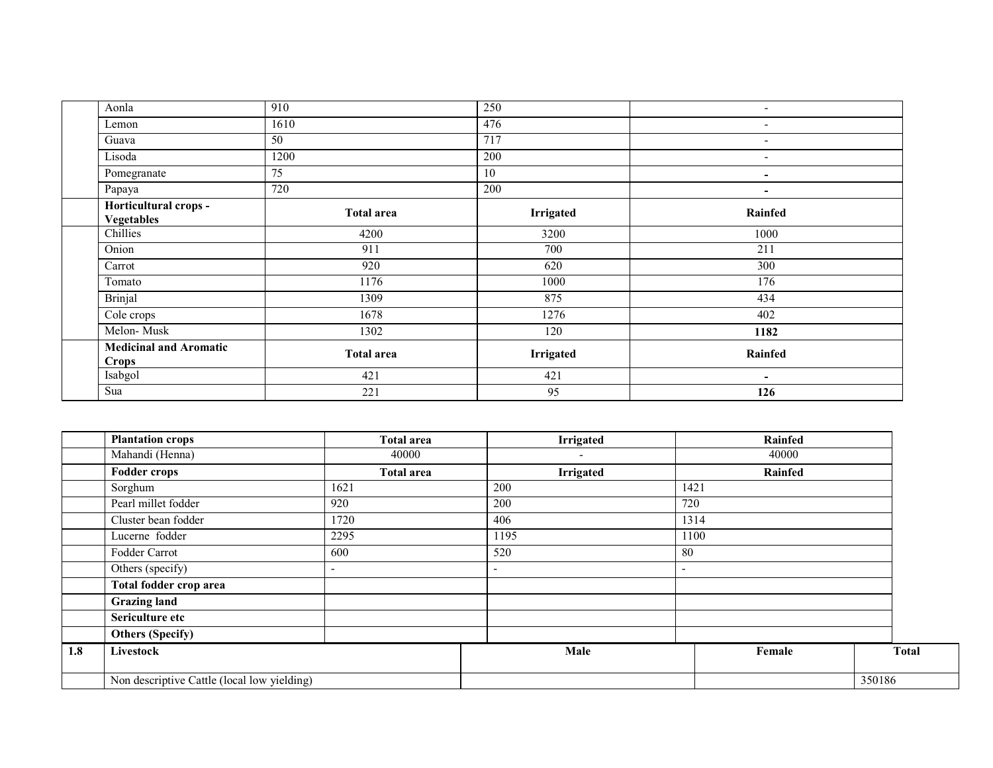| Aonla                                      | 910               | 250              | $\overline{\phantom{a}}$ |
|--------------------------------------------|-------------------|------------------|--------------------------|
| Lemon                                      | 1610              | 476              | $\overline{\phantom{a}}$ |
| Guava                                      | 50                | 717              | $\overline{\phantom{a}}$ |
| Lisoda                                     | 1200              | 200              | $\overline{\phantom{a}}$ |
| Pomegranate                                | $\overline{75}$   | 10               | $\blacksquare$           |
| Papaya                                     | 720               | 200              | $\overline{\phantom{a}}$ |
| Horticultural crops -<br><b>Vegetables</b> | <b>Total area</b> | <b>Irrigated</b> | Rainfed                  |
| Chillies                                   | 4200              | 3200             | 1000                     |
| Onion                                      | 911               | 700              | 211                      |
| Carrot                                     | 920               | 620              | 300                      |
| Tomato                                     | 1176              | 1000             | 176                      |
| <b>Brinjal</b>                             | 1309              | 875              | 434                      |
| Cole crops                                 | 1678              | 1276             | 402                      |
| Melon-Musk                                 | 1302              | 120              | 1182                     |
| <b>Medicinal and Aromatic</b><br>Crops     | <b>Total area</b> | <b>Irrigated</b> | Rainfed                  |
| Isabgol                                    | 421               | 421              | $\blacksquare$           |
| Sua                                        | 221               | 95               | 126                      |

|     | <b>Plantation crops</b>                     | <b>Total area</b>        | <b>Irrigated</b>         | <b>Rainfed</b>           |              |
|-----|---------------------------------------------|--------------------------|--------------------------|--------------------------|--------------|
|     | Mahandi (Henna)                             | 40000                    | $\overline{\phantom{a}}$ | 40000                    |              |
|     | <b>Fodder crops</b>                         | <b>Total area</b>        | <b>Irrigated</b>         | Rainfed                  |              |
|     | Sorghum                                     | 1621                     | 200                      | 1421                     |              |
|     | Pearl millet fodder                         | 920                      | 200                      | 720                      |              |
|     | Cluster bean fodder                         | 1720                     | 406                      | 1314                     |              |
|     | Lucerne fodder                              | 2295                     | 1195                     | 1100                     |              |
|     | Fodder Carrot                               | 600                      | 520                      | 80                       |              |
|     | Others (specify)                            | $\overline{\phantom{0}}$ | $\overline{\phantom{0}}$ | $\overline{\phantom{a}}$ |              |
|     | Total fodder crop area                      |                          |                          |                          |              |
|     | <b>Grazing land</b>                         |                          |                          |                          |              |
|     | Sericulture etc                             |                          |                          |                          |              |
|     | <b>Others (Specify)</b>                     |                          |                          |                          |              |
| 1.8 | <b>Livestock</b>                            |                          | Male                     | Female                   | <b>Total</b> |
|     | Non descriptive Cattle (local low yielding) |                          |                          |                          | 350186       |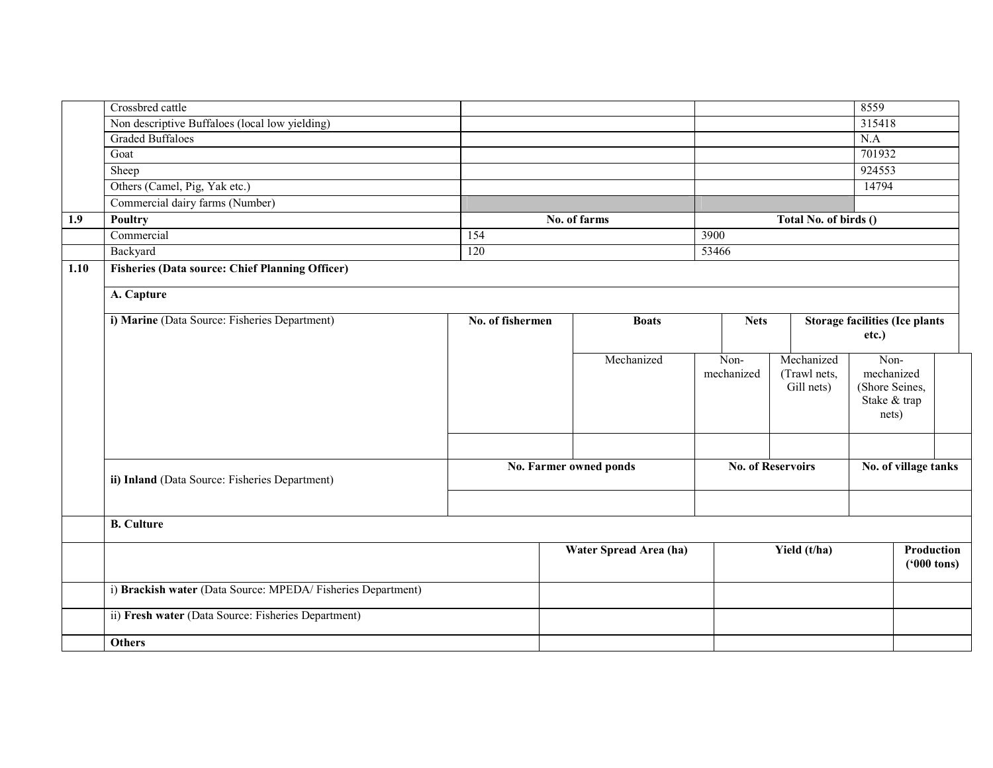|      | Crossbred cattle                                            |                  |                        |                    |                            | 8559                                  |                      |
|------|-------------------------------------------------------------|------------------|------------------------|--------------------|----------------------------|---------------------------------------|----------------------|
|      | Non descriptive Buffaloes (local low yielding)              |                  |                        |                    |                            | 315418                                |                      |
|      | <b>Graded Buffaloes</b>                                     |                  |                        |                    |                            | N.A                                   |                      |
|      | Goat                                                        |                  |                        |                    |                            | 701932                                |                      |
|      | Sheep                                                       |                  |                        |                    |                            | 924553                                |                      |
|      | Others (Camel, Pig, Yak etc.)                               |                  |                        |                    |                            | 14794                                 |                      |
|      | Commercial dairy farms (Number)                             |                  |                        |                    |                            |                                       |                      |
| 1.9  | Poultry                                                     |                  | No. of farms           |                    | Total No. of birds ()      |                                       |                      |
|      | Commercial                                                  | 154              |                        | 3900               |                            |                                       |                      |
|      | Backyard                                                    | $\overline{120}$ |                        | 53466              |                            |                                       |                      |
| 1.10 | <b>Fisheries (Data source: Chief Planning Officer)</b>      |                  |                        |                    |                            |                                       |                      |
|      |                                                             |                  |                        |                    |                            |                                       |                      |
|      | A. Capture                                                  |                  |                        |                    |                            |                                       |                      |
|      | i) Marine (Data Source: Fisheries Department)               | No. of fishermen | <b>Boats</b>           | <b>Nets</b>        |                            | <b>Storage facilities (Ice plants</b> |                      |
|      |                                                             |                  |                        |                    |                            | etc.)                                 |                      |
|      |                                                             |                  |                        |                    |                            |                                       |                      |
|      |                                                             |                  | Mechanized             | Non-<br>mechanized | Mechanized<br>(Trawl nets, | Non-<br>mechanized                    |                      |
|      |                                                             |                  |                        |                    | Gill nets)                 | (Shore Seines,                        |                      |
|      |                                                             |                  |                        |                    |                            | Stake & trap                          |                      |
|      |                                                             |                  |                        |                    |                            | nets)                                 |                      |
|      |                                                             |                  |                        |                    |                            |                                       |                      |
|      |                                                             |                  |                        |                    |                            |                                       |                      |
|      |                                                             |                  | No. Farmer owned ponds |                    | <b>No. of Reservoirs</b>   | No. of village tanks                  |                      |
|      | ii) Inland (Data Source: Fisheries Department)              |                  |                        |                    |                            |                                       |                      |
|      |                                                             |                  |                        |                    |                            |                                       |                      |
|      |                                                             |                  |                        |                    |                            |                                       |                      |
|      | <b>B.</b> Culture                                           |                  |                        |                    |                            |                                       |                      |
|      |                                                             |                  | Water Spread Area (ha) |                    | Yield (t/ha)               |                                       | Production           |
|      |                                                             |                  |                        |                    |                            |                                       | $(900 \text{ tons})$ |
|      | i) Brackish water (Data Source: MPEDA/Fisheries Department) |                  |                        |                    |                            |                                       |                      |
|      | ii) Fresh water (Data Source: Fisheries Department)         |                  |                        |                    |                            |                                       |                      |
|      | <b>Others</b>                                               |                  |                        |                    |                            |                                       |                      |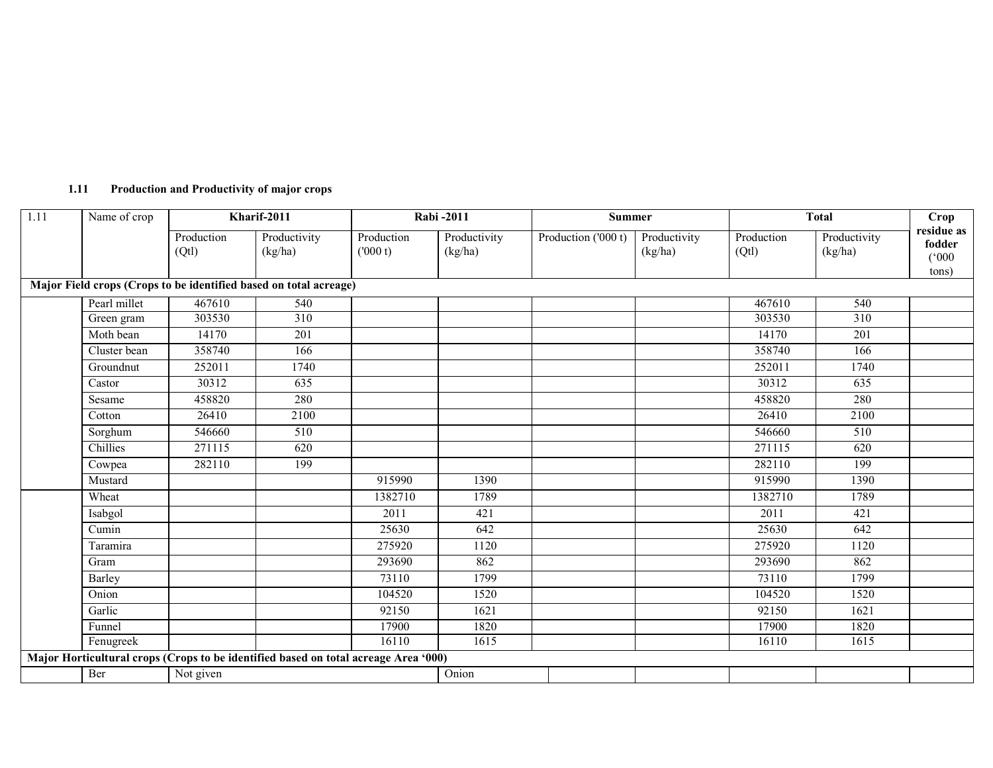| 1.11<br><b>Production and Productivity of major crops</b> |  |
|-----------------------------------------------------------|--|
|-----------------------------------------------------------|--|

| 1.11 | Name of crop | Kharif-2011        |                                                                                     |                       | <b>Rabi-2011</b>        |                     | <b>Summer</b>           |                     | <b>Total</b>            |                                        |
|------|--------------|--------------------|-------------------------------------------------------------------------------------|-----------------------|-------------------------|---------------------|-------------------------|---------------------|-------------------------|----------------------------------------|
|      |              | Production<br>(Qt) | Productivity<br>(kg/ha)                                                             | Production<br>(000 t) | Productivity<br>(kg/ha) | Production ('000 t) | Productivity<br>(kg/ha) | Production<br>(Qtl) | Productivity<br>(kg/ha) | residue as<br>fodder<br>(000)<br>tons) |
|      |              |                    | Major Field crops (Crops to be identified based on total acreage)                   |                       |                         |                     |                         |                     |                         |                                        |
|      | Pearl millet | 467610             | 540                                                                                 |                       |                         |                     |                         | 467610              | 540                     |                                        |
|      | Green gram   | 303530             | $\overline{310}$                                                                    |                       |                         |                     |                         | 303530              | 310                     |                                        |
|      | Moth bean    | 14170              | 201                                                                                 |                       |                         |                     |                         | 14170               | 201                     |                                        |
|      | Cluster bean | 358740             | 166                                                                                 |                       |                         |                     |                         | 358740              | 166                     |                                        |
|      | Groundnut    | 252011             | 1740                                                                                |                       |                         |                     |                         | 252011              | 1740                    |                                        |
|      | Castor       | 30312              | $\overline{635}$                                                                    |                       |                         |                     |                         | 30312               | 635                     |                                        |
|      | Sesame       | 458820             | 280                                                                                 |                       |                         |                     |                         | 458820              | 280                     |                                        |
|      | Cotton       | 26410              | 2100                                                                                |                       |                         |                     |                         | 26410               | 2100                    |                                        |
|      | Sorghum      | 546660             | 510                                                                                 |                       |                         |                     |                         | 546660              | 510                     |                                        |
|      | Chillies     | 271115             | 620                                                                                 |                       |                         |                     |                         | 271115              | 620                     |                                        |
|      | Cowpea       | 282110             | 199                                                                                 |                       |                         |                     |                         | 282110              | 199                     |                                        |
|      | Mustard      |                    |                                                                                     | 915990                | 1390                    |                     |                         | 915990              | 1390                    |                                        |
|      | Wheat        |                    |                                                                                     | 1382710               | 1789                    |                     |                         | 1382710             | 1789                    |                                        |
|      | Isabgol      |                    |                                                                                     | 2011                  | 421                     |                     |                         | 2011                | 421                     |                                        |
|      | Cumin        |                    |                                                                                     | 25630                 | 642                     |                     |                         | 25630               | 642                     |                                        |
|      | Taramira     |                    |                                                                                     | 275920                | 1120                    |                     |                         | 275920              | 1120                    |                                        |
|      | Gram         |                    |                                                                                     | 293690                | 862                     |                     |                         | 293690              | 862                     |                                        |
|      | Barley       |                    |                                                                                     | 73110                 | 1799                    |                     |                         | 73110               | 1799                    |                                        |
|      | Onion        |                    |                                                                                     | 104520                | 1520                    |                     |                         | 104520              | 1520                    |                                        |
|      | Garlic       |                    |                                                                                     | 92150                 | 1621                    |                     |                         | 92150               | 1621                    |                                        |
|      | Funnel       |                    |                                                                                     | 17900                 | 1820                    |                     |                         | 17900               | 1820                    |                                        |
|      | Fenugreek    |                    |                                                                                     | 16110                 | 1615                    |                     |                         | 16110               | 1615                    |                                        |
|      |              |                    | Major Horticultural crops (Crops to be identified based on total acreage Area '000) |                       |                         |                     |                         |                     |                         |                                        |
|      | Ber          | Not given          |                                                                                     |                       | Onion                   |                     |                         |                     |                         |                                        |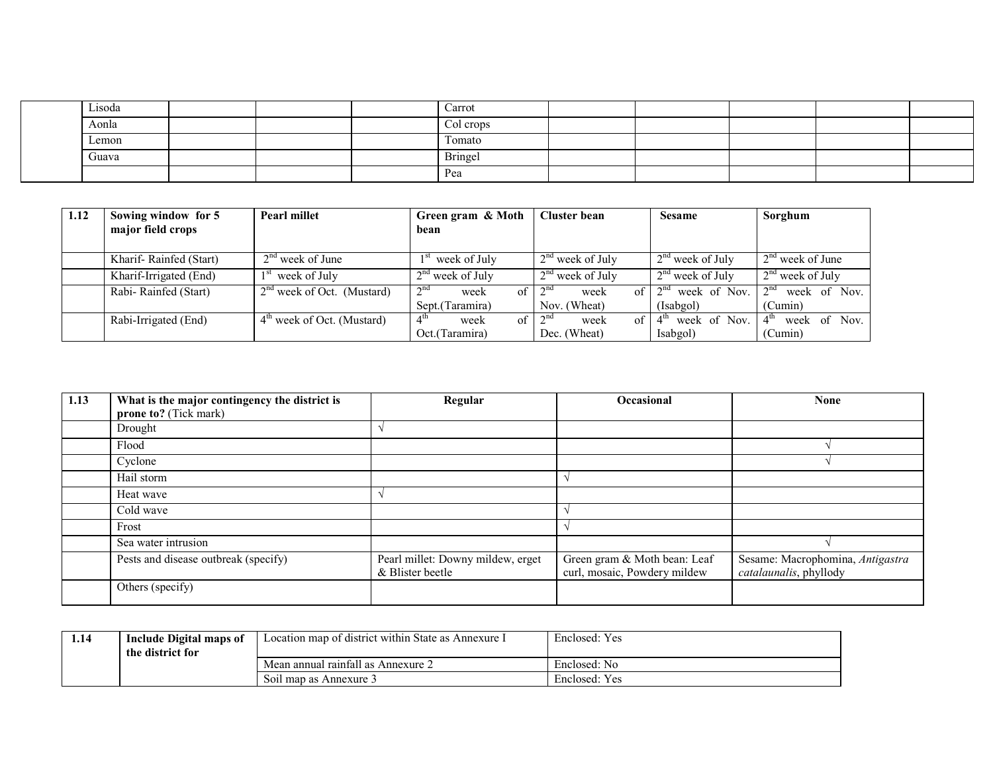| Lisoda |  | Carrot    |  |  |
|--------|--|-----------|--|--|
| Aonla  |  | Col crops |  |  |
| Lemon  |  | Tomato    |  |  |
| Guava  |  | Bringel   |  |  |
|        |  | Pea       |  |  |

| 1.12 | Sowing window for 5    | <b>Pearl millet</b>          | Green gram & Moth                     | <b>Cluster bean</b>           | <b>Sesame</b>                   | Sorghum                         |
|------|------------------------|------------------------------|---------------------------------------|-------------------------------|---------------------------------|---------------------------------|
|      | major field crops      |                              | bean                                  |                               |                                 |                                 |
|      |                        |                              |                                       |                               |                                 |                                 |
|      | Kharif-Rainfed (Start) | $2nd$ week of June           | week of July                          | $2nd$ week of July            | $2nd$ week of July              | $2nd$ week of June              |
|      | Kharif-Irrigated (End) | week of July                 | $2nd$ week of July                    | $2nd$ week of July            | $2nd$ week of July              | $2nd$ week of July              |
|      | Rabi-Rainfed (Start)   | $2nd$ week of Oct. (Mustard) | 2 <sup>nd</sup><br>$\alpha$ f<br>week | 2 <sub>nd</sub><br>of<br>week | week of Nov.<br>2 <sup>nd</sup> | 2 <sup>nd</sup><br>week of Nov. |
|      |                        |                              | Sept.(Taramira)                       | Nov. (Wheat)                  | (Isabgol)                       | (Cumin)                         |
|      | Rabi-Irrigated (End)   | $4th$ week of Oct. (Mustard) | $4^{\text{in}}$<br>of 1<br>week       | $2^n$<br>of ·<br>week         | week of Nov.<br>$4^{\text{tn}}$ | $4^{\text{in}}$<br>week of Nov. |
|      |                        |                              | Oct.(Taramira)                        | Dec. (Wheat)                  | Isabgol)                        | (Cumin)                         |

| 1.13 | What is the major contingency the district is<br>prone to? (Tick mark) | Regular                                               | <b>Occasional</b>                                            | <b>None</b>                                                |
|------|------------------------------------------------------------------------|-------------------------------------------------------|--------------------------------------------------------------|------------------------------------------------------------|
|      | Drought                                                                |                                                       |                                                              |                                                            |
|      | Flood                                                                  |                                                       |                                                              |                                                            |
|      | Cyclone                                                                |                                                       |                                                              |                                                            |
|      | Hail storm                                                             |                                                       |                                                              |                                                            |
|      | Heat wave                                                              |                                                       |                                                              |                                                            |
|      | Cold wave                                                              |                                                       |                                                              |                                                            |
|      | Frost                                                                  |                                                       |                                                              |                                                            |
|      | Sea water intrusion                                                    |                                                       |                                                              |                                                            |
|      | Pests and disease outbreak (specify)                                   | Pearl millet: Downy mildew, erget<br>& Blister beetle | Green gram & Moth bean: Leaf<br>curl, mosaic, Powdery mildew | Sesame: Macrophomina, Antigastra<br>catalaunalis, phyllody |
|      | Others (specify)                                                       |                                                       |                                                              |                                                            |

| 1.14 | Include Digital maps of | Location map of district within State as Annexure I | Enclosed: Yes |
|------|-------------------------|-----------------------------------------------------|---------------|
|      | the district for        |                                                     |               |
|      |                         | Mean annual rainfall as Annexure 2                  | Enclosed: No  |
|      |                         | Soil map as Annexure 3                              | Enclosed: Yes |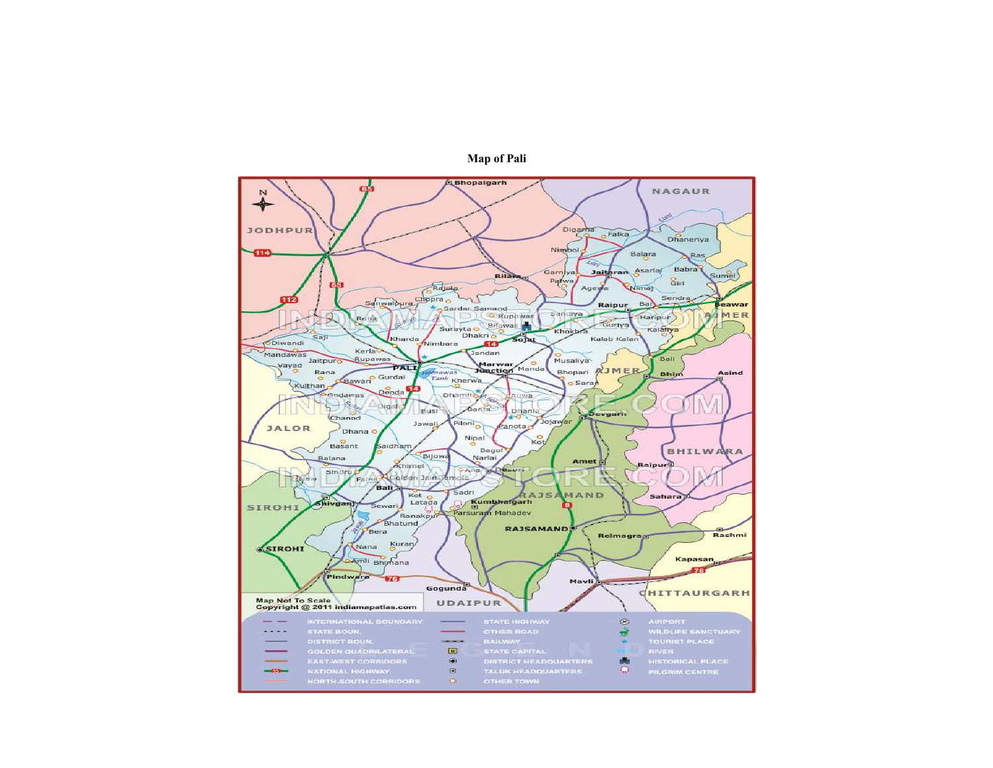

Map of Pali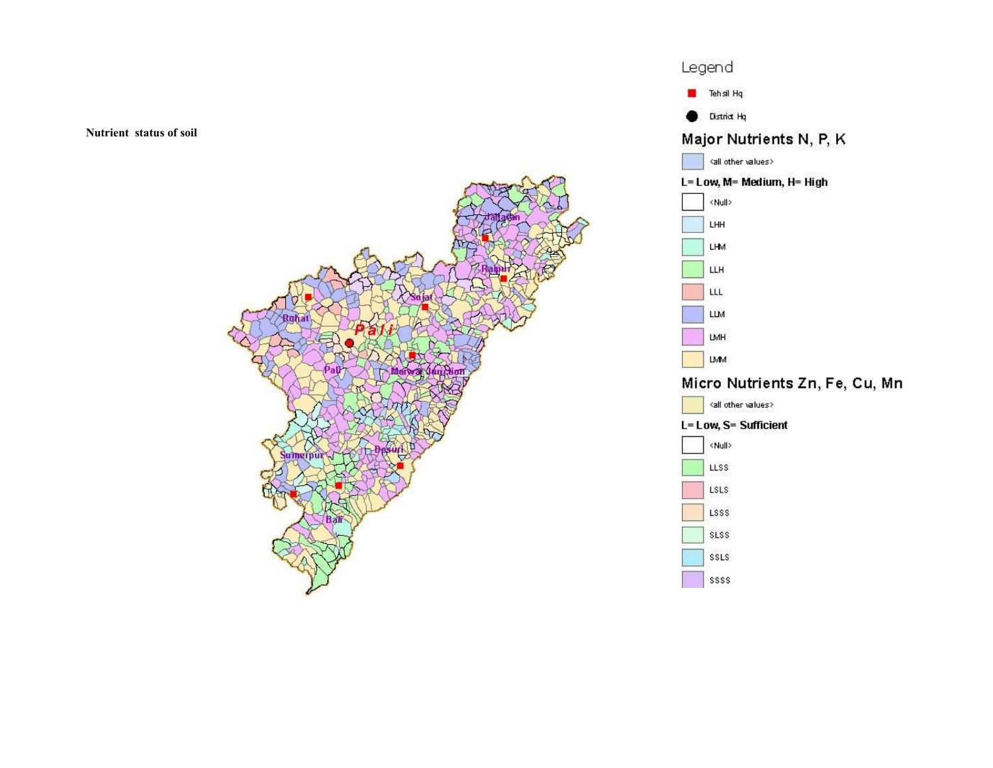Nutrient status of soil



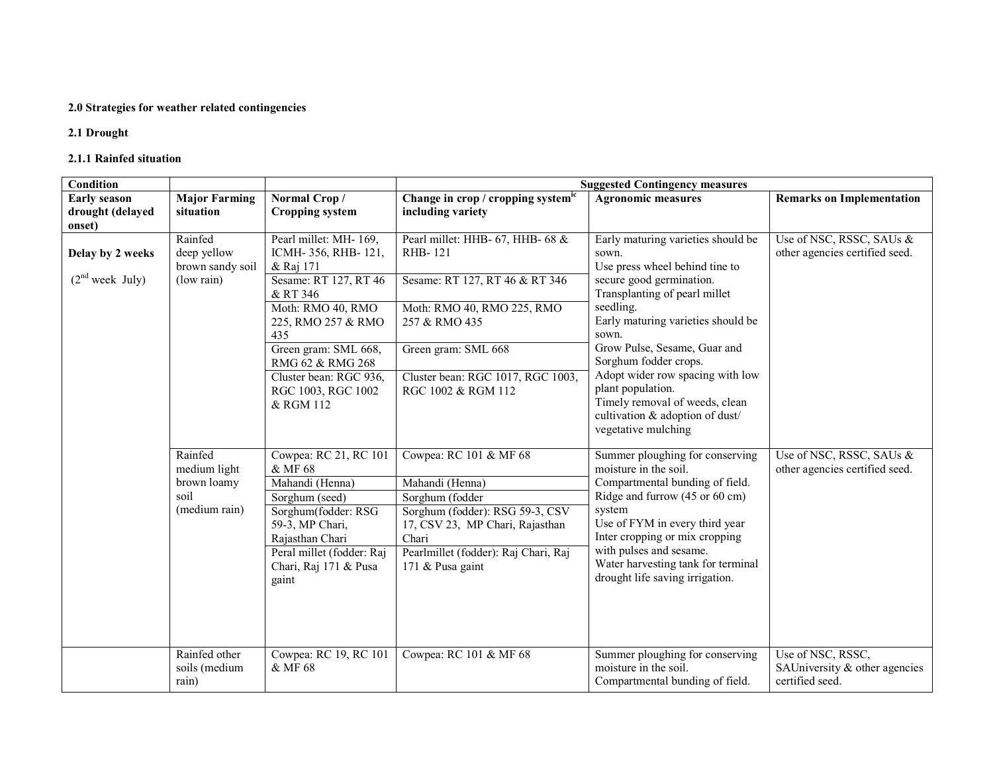#### 2.0 Strategies for weather related contingencies

2.1 Drought

#### 2.1.1 Rainfed situation

| Condition                   |                      |                                              |                                                         | <b>Suggested Contingency measures</b>                                 |                                  |
|-----------------------------|----------------------|----------------------------------------------|---------------------------------------------------------|-----------------------------------------------------------------------|----------------------------------|
| <b>Early season</b>         | <b>Major Farming</b> | Normal Crop/                                 | Change in crop / cropping systemic                      | <b>Agronomic measures</b>                                             | <b>Remarks on Implementation</b> |
| drought (delayed            | situation            | <b>Cropping system</b>                       | including variety                                       |                                                                       |                                  |
| onset)                      |                      |                                              |                                                         |                                                                       |                                  |
|                             | Rainfed              | Pearl millet: MH- 169,                       | Pearl millet: HHB- 67, HHB- 68 &                        | Early maturing varieties should be                                    | Use of NSC, RSSC, SAUs &         |
| Delay by 2 weeks            | deep yellow          | ICMH-356, RHB-121,                           | RHB-121                                                 | sown.                                                                 | other agencies certified seed.   |
|                             | brown sandy soil     | & Raj 171                                    |                                                         | Use press wheel behind tine to                                        |                                  |
| (2 <sup>nd</sup> week July) | (low rain)           | Sesame: RT 127, RT 46                        | Sesame: RT 127, RT 46 & RT 346                          | secure good germination.                                              |                                  |
|                             |                      | & RT 346                                     |                                                         | Transplanting of pearl millet                                         |                                  |
|                             |                      | Moth: RMO 40, RMO                            | Moth: RMO 40, RMO 225, RMO                              | seedling.<br>Early maturing varieties should be                       |                                  |
|                             |                      | 225, RMO 257 & RMO                           | 257 & RMO 435                                           | sown.                                                                 |                                  |
|                             |                      | 435                                          |                                                         | Grow Pulse, Sesame, Guar and                                          |                                  |
|                             |                      | Green gram: SML 668,<br>RMG 62 & RMG 268     | Green gram: SML 668                                     | Sorghum fodder crops.                                                 |                                  |
|                             |                      |                                              |                                                         | Adopt wider row spacing with low                                      |                                  |
|                             |                      | Cluster bean: RGC 936,<br>RGC 1003, RGC 1002 | Cluster bean: RGC 1017, RGC 1003,<br>RGC 1002 & RGM 112 | plant population.                                                     |                                  |
|                             |                      | & RGM 112                                    |                                                         | Timely removal of weeds, clean                                        |                                  |
|                             |                      |                                              |                                                         | cultivation & adoption of dust/                                       |                                  |
|                             |                      |                                              |                                                         | vegetative mulching                                                   |                                  |
|                             |                      |                                              |                                                         |                                                                       |                                  |
|                             | Rainfed              | Cowpea: RC 21, RC 101                        | Cowpea: RC 101 & MF 68                                  | Summer ploughing for conserving                                       | Use of NSC, RSSC, SAUs &         |
|                             | medium light         | & MF 68                                      |                                                         | moisture in the soil.                                                 | other agencies certified seed.   |
|                             | brown loamy          | Mahandi (Henna)                              | Mahandi (Henna)                                         | Compartmental bunding of field.                                       |                                  |
|                             | soil                 | Sorghum (seed)                               | Sorghum (fodder                                         | Ridge and furrow (45 or 60 cm)                                        |                                  |
|                             | (medium rain)        | Sorghum(fodder: RSG                          | Sorghum (fodder): RSG 59-3, CSV                         | system                                                                |                                  |
|                             |                      | 59-3, MP Chari,                              | 17, CSV 23, MP Chari, Rajasthan                         | Use of FYM in every third year                                        |                                  |
|                             |                      | Rajasthan Chari                              | Chari                                                   | Inter cropping or mix cropping                                        |                                  |
|                             |                      | Peral millet (fodder: Raj                    | Pearlmillet (fodder): Raj Chari, Raj                    | with pulses and sesame.                                               |                                  |
|                             |                      | Chari, Raj 171 & Pusa                        | 171 & Pusa gaint                                        | Water harvesting tank for terminal<br>drought life saving irrigation. |                                  |
|                             |                      | gaint                                        |                                                         |                                                                       |                                  |
|                             |                      |                                              |                                                         |                                                                       |                                  |
|                             |                      |                                              |                                                         |                                                                       |                                  |
|                             |                      |                                              |                                                         |                                                                       |                                  |
|                             |                      |                                              |                                                         |                                                                       |                                  |
|                             | Rainfed other        | Cowpea: RC 19, RC 101                        | Cowpea: RC 101 & MF 68                                  | Summer ploughing for conserving                                       | Use of NSC, RSSC,                |
|                             | soils (medium        | & MF 68                                      |                                                         | moisture in the soil.                                                 | SAUniversity & other agencies    |
|                             | rain)                |                                              |                                                         | Compartmental bunding of field.                                       | certified seed.                  |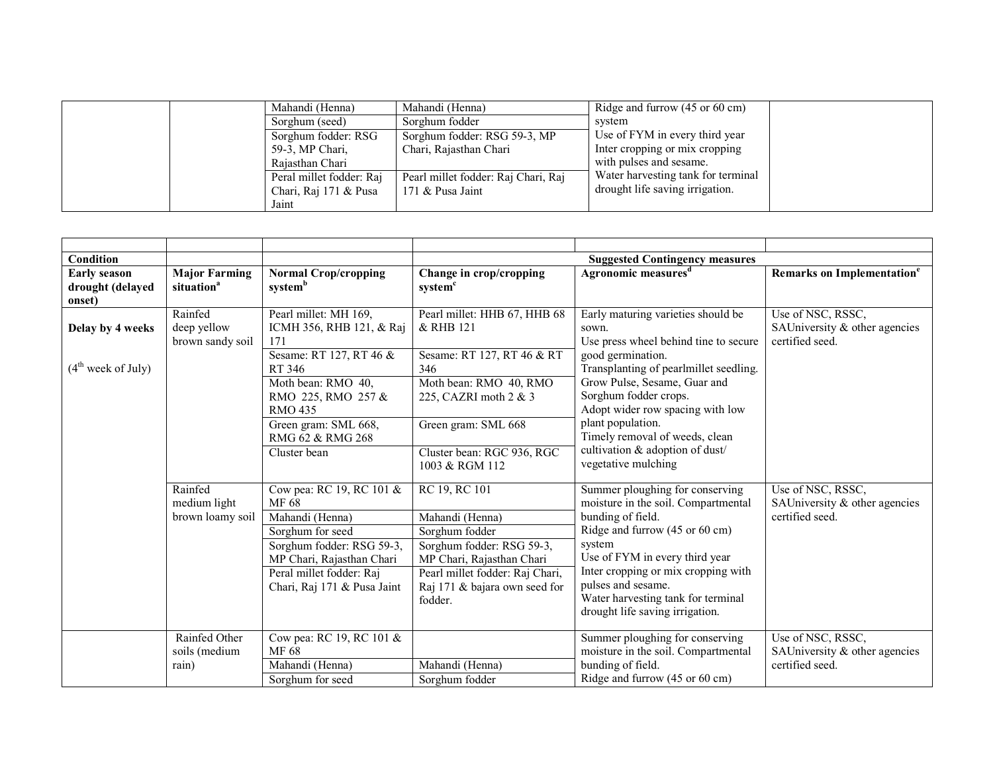| Mahandi (Henna)          | Mahandi (Henna)                     | Ridge and furrow $(45 \text{ or } 60 \text{ cm})$ |
|--------------------------|-------------------------------------|---------------------------------------------------|
| Sorghum (seed)           | Sorghum fodder                      | system                                            |
| Sorghum fodder: RSG      | Sorghum fodder: RSG 59-3, MP        | Use of FYM in every third year                    |
| 59-3, MP Chari,          | Chari, Rajasthan Chari              | Inter cropping or mix cropping                    |
| Rajasthan Chari          |                                     | with pulses and sesame.                           |
| Peral millet fodder: Raj | Pearl millet fodder: Raj Chari, Raj | Water harvesting tank for terminal                |
| Chari, Raj 171 & Pusa    | 171 $&$ Pusa Jaint                  | drought life saving irrigation.                   |
| Jaint                    |                                     |                                                   |

| Condition                                         |                                                |                                                                                                                                                                                               |                                                                                                                                                                                             | <b>Suggested Contingency measures</b>                                                                                                                                                                                                                                                                           |                                                                       |
|---------------------------------------------------|------------------------------------------------|-----------------------------------------------------------------------------------------------------------------------------------------------------------------------------------------------|---------------------------------------------------------------------------------------------------------------------------------------------------------------------------------------------|-----------------------------------------------------------------------------------------------------------------------------------------------------------------------------------------------------------------------------------------------------------------------------------------------------------------|-----------------------------------------------------------------------|
| <b>Early season</b><br>drought (delayed<br>onset) | <b>Major Farming</b><br>situation <sup>a</sup> | <b>Normal Crop/cropping</b><br>systemb                                                                                                                                                        | Change in crop/cropping<br>system <sup>c</sup>                                                                                                                                              | Agronomic measures <sup>d</sup>                                                                                                                                                                                                                                                                                 | Remarks on Implementation <sup>e</sup>                                |
| Delay by 4 weeks                                  | Rainfed<br>deep yellow<br>brown sandy soil     | Pearl millet: MH 169,<br>ICMH 356, RHB 121, & Raj<br>171                                                                                                                                      | Pearl millet: HHB 67, HHB 68<br>& RHB 121                                                                                                                                                   | Early maturing varieties should be<br>sown.<br>Use press wheel behind tine to secure                                                                                                                                                                                                                            | Use of NSC, RSSC,<br>SAUniversity & other agencies<br>certified seed. |
| (4 <sup>th</sup> week of July)                    |                                                | Sesame: RT 127, RT 46 &<br>RT 346<br>Moth bean: RMO 40,<br>RMO 225, RMO 257 &<br><b>RMO 435</b><br>Green gram: SML 668,                                                                       | Sesame: RT 127, RT 46 & RT<br>346<br>Moth bean: RMO 40, RMO<br>225, CAZRI moth 2 & 3<br>Green gram: SML 668                                                                                 | good germination.<br>Transplanting of pearlmillet seedling.<br>Grow Pulse, Sesame, Guar and<br>Sorghum fodder crops.<br>Adopt wider row spacing with low<br>plant population.                                                                                                                                   |                                                                       |
|                                                   |                                                | RMG 62 & RMG 268<br>Cluster bean                                                                                                                                                              | Cluster bean: RGC 936, RGC<br>1003 & RGM 112                                                                                                                                                | Timely removal of weeds, clean<br>cultivation & adoption of dust/<br>vegetative mulching                                                                                                                                                                                                                        |                                                                       |
|                                                   | Rainfed<br>medium light<br>brown loamy soil    | Cow pea: RC 19, RC 101 &<br>MF 68<br>Mahandi (Henna)<br>Sorghum for seed<br>Sorghum fodder: RSG 59-3,<br>MP Chari, Rajasthan Chari<br>Peral millet fodder: Raj<br>Chari, Raj 171 & Pusa Jaint | RC 19, RC 101<br>Mahandi (Henna)<br>Sorghum fodder<br>Sorghum fodder: RSG 59-3,<br>MP Chari, Rajasthan Chari<br>Pearl millet fodder: Raj Chari,<br>Raj 171 & bajara own seed for<br>fodder. | Summer ploughing for conserving<br>moisture in the soil. Compartmental<br>bunding of field.<br>Ridge and furrow (45 or 60 cm)<br>system<br>Use of FYM in every third year<br>Inter cropping or mix cropping with<br>pulses and sesame.<br>Water harvesting tank for terminal<br>drought life saving irrigation. | Use of NSC, RSSC,<br>SAUniversity & other agencies<br>certified seed. |
|                                                   | Rainfed Other<br>soils (medium<br>rain)        | Cow pea: RC 19, RC 101 &<br>MF 68<br>Mahandi (Henna)<br>Sorghum for seed                                                                                                                      | Mahandi (Henna)<br>Sorghum fodder                                                                                                                                                           | Summer ploughing for conserving<br>moisture in the soil. Compartmental<br>bunding of field.<br>Ridge and furrow (45 or 60 cm)                                                                                                                                                                                   | Use of NSC, RSSC,<br>SAUniversity & other agencies<br>certified seed. |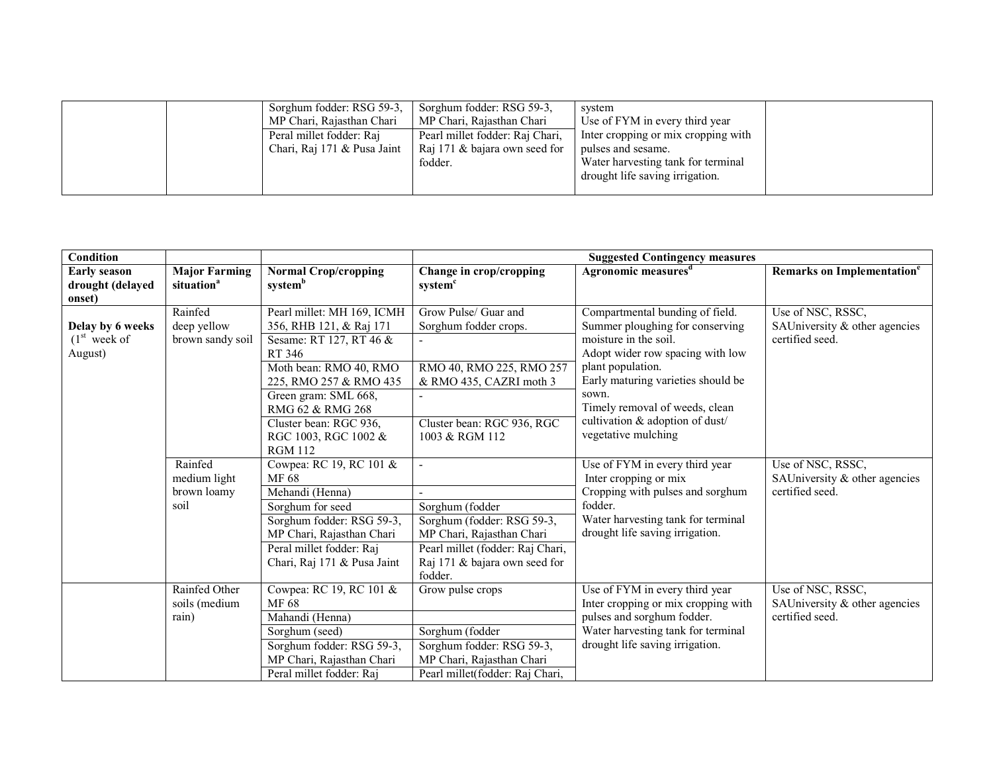|  | Sorghum fodder: RSG 59-3,   | Sorghum fodder: RSG 59-3.       | system                              |
|--|-----------------------------|---------------------------------|-------------------------------------|
|  | MP Chari, Rajasthan Chari   | MP Chari, Rajasthan Chari       | Use of FYM in every third year      |
|  | Peral millet fodder: Raj    | Pearl millet fodder: Raj Chari, | Inter cropping or mix cropping with |
|  | Chari, Raj 171 & Pusa Jaint | Raj 171 & bajara own seed for   | pulses and sesame.                  |
|  |                             | fodder.                         | Water harvesting tank for terminal  |
|  |                             |                                 | drought life saving irrigation.     |
|  |                             |                                 |                                     |

| Condition                                         |                                                |                                                                                                                                                                                              |                                                                                                                                                            | <b>Suggested Contingency measures</b>                                                                                                                                                      |                                                                         |
|---------------------------------------------------|------------------------------------------------|----------------------------------------------------------------------------------------------------------------------------------------------------------------------------------------------|------------------------------------------------------------------------------------------------------------------------------------------------------------|--------------------------------------------------------------------------------------------------------------------------------------------------------------------------------------------|-------------------------------------------------------------------------|
| <b>Early season</b><br>drought (delayed<br>onset) | <b>Major Farming</b><br>situation <sup>a</sup> | <b>Normal Crop/cropping</b><br>systemb                                                                                                                                                       | Change in crop/cropping<br>system <sup>c</sup>                                                                                                             | Agronomic measures <sup>d</sup>                                                                                                                                                            | Remarks on Implementation <sup>e</sup>                                  |
| Delay by 6 weeks<br>$(1st$ week of<br>August)     | Rainfed<br>deep yellow<br>brown sandy soil     | Pearl millet: MH 169, ICMH<br>356, RHB 121, & Raj 171<br>Sesame: RT 127, RT 46 &<br>RT 346<br>Moth bean: RMO 40, RMO                                                                         | Grow Pulse/ Guar and<br>Sorghum fodder crops.<br>RMO 40, RMO 225, RMO 257                                                                                  | Compartmental bunding of field.<br>Summer ploughing for conserving<br>moisture in the soil.<br>Adopt wider row spacing with low<br>plant population.<br>Early maturing varieties should be | Use of NSC, RSSC,<br>SAUniversity & other agencies<br>certified seed.   |
|                                                   |                                                | 225, RMO 257 & RMO 435<br>Green gram: SML 668,<br>RMG 62 & RMG 268<br>Cluster bean: RGC 936,<br>RGC 1003, RGC 1002 &<br><b>RGM 112</b>                                                       | & RMO 435, CAZRI moth 3<br>Cluster bean: RGC 936, RGC<br>1003 & RGM 112                                                                                    | sown.<br>Timely removal of weeds, clean<br>cultivation & adoption of dust/<br>vegetative mulching                                                                                          |                                                                         |
|                                                   | Rainfed<br>medium light<br>brown loamy<br>soil | Cowpea: RC 19, RC 101 &<br>MF 68<br>Mehandi (Henna)<br>Sorghum for seed<br>Sorghum fodder: RSG 59-3,<br>MP Chari, Rajasthan Chari<br>Peral millet fodder: Raj<br>Chari, Raj 171 & Pusa Jaint | Sorghum (fodder<br>Sorghum (fodder: RSG 59-3,<br>MP Chari, Rajasthan Chari<br>Pearl millet (fodder: Raj Chari,<br>Raj 171 & bajara own seed for<br>fodder. | Use of FYM in every third year<br>Inter cropping or mix<br>Cropping with pulses and sorghum<br>fodder.<br>Water harvesting tank for terminal<br>drought life saving irrigation.            | Use of NSC, RSSC,<br>SAUniversity $&$ other agencies<br>certified seed. |
|                                                   | Rainfed Other<br>soils (medium<br>rain)        | Cowpea: RC 19, RC 101 &<br>MF 68<br>Mahandi (Henna)<br>Sorghum (seed)<br>Sorghum fodder: RSG 59-3,<br>MP Chari, Rajasthan Chari<br>Peral millet fodder: Raj                                  | Grow pulse crops<br>Sorghum (fodder<br>Sorghum fodder: RSG 59-3,<br>MP Chari, Rajasthan Chari<br>Pearl millet(fodder: Raj Chari,                           | Use of FYM in every third year<br>Inter cropping or mix cropping with<br>pulses and sorghum fodder.<br>Water harvesting tank for terminal<br>drought life saving irrigation.               | Use of NSC, RSSC,<br>SAUniversity & other agencies<br>certified seed.   |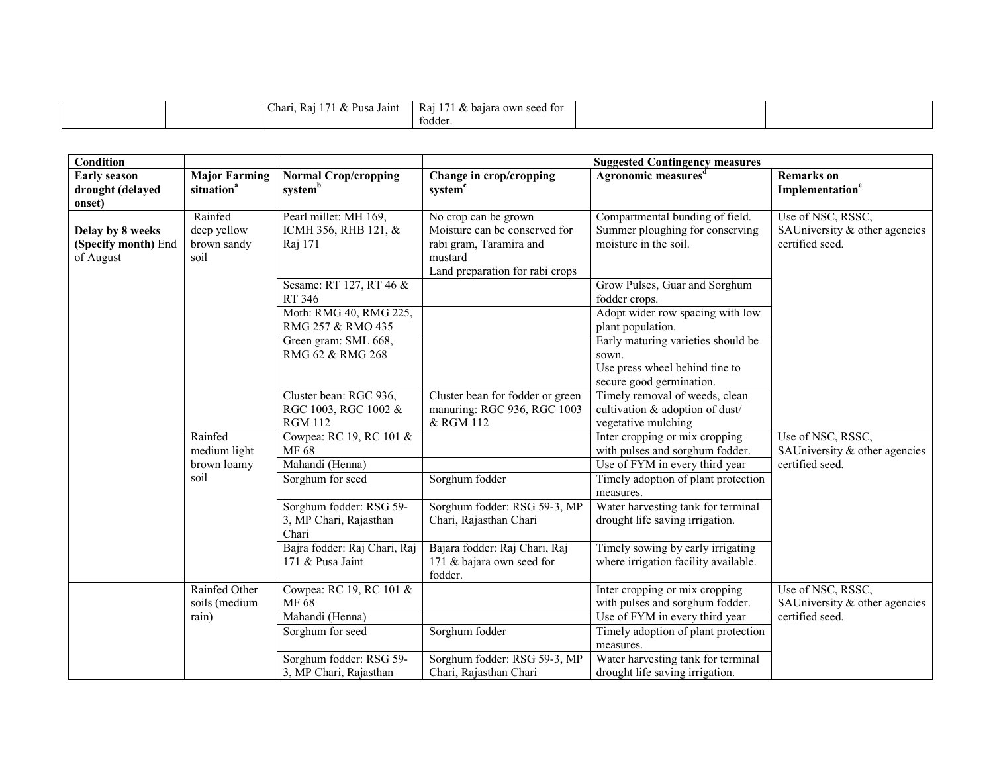| -<br>$\overline{\phantom{0}}$<br>$\Omega$<br>Kar<br>Unarı<br><sup>o</sup> usa<br>Jain.<br>$\alpha$ | -<br>Rai<br>. for<br>. owr<br>baiara<br>`seed<br>$\alpha$<br>todder. |  |
|----------------------------------------------------------------------------------------------------|----------------------------------------------------------------------|--|
|----------------------------------------------------------------------------------------------------|----------------------------------------------------------------------|--|

| <b>Condition</b>                                     |                                                |                                                                  |                                                                                                                                | <b>Suggested Contingency measures</b>                                                                                          |                                                                       |
|------------------------------------------------------|------------------------------------------------|------------------------------------------------------------------|--------------------------------------------------------------------------------------------------------------------------------|--------------------------------------------------------------------------------------------------------------------------------|-----------------------------------------------------------------------|
| <b>Early season</b><br>drought (delayed<br>onset)    | <b>Major Farming</b><br>situation <sup>a</sup> | <b>Normal Crop/cropping</b><br>system <sup>b</sup>               | Change in crop/cropping<br>system <sup>c</sup>                                                                                 | Agronomic measures <sup>d</sup>                                                                                                | <b>Remarks</b> on<br>Implementation <sup>e</sup>                      |
| Delay by 8 weeks<br>(Specify month) End<br>of August | Rainfed<br>deep yellow<br>brown sandy<br>soil  | Pearl millet: MH 169,<br>ICMH 356, RHB 121, &<br>Raj 171         | No crop can be grown<br>Moisture can be conserved for<br>rabi gram, Taramira and<br>mustard<br>Land preparation for rabi crops | Compartmental bunding of field.<br>Summer ploughing for conserving<br>moisture in the soil.                                    | Use of NSC, RSSC,<br>SAUniversity & other agencies<br>certified seed. |
|                                                      |                                                | Sesame: RT 127, RT 46 &<br>RT 346<br>Moth: RMG 40, RMG 225,      |                                                                                                                                | Grow Pulses, Guar and Sorghum<br>fodder crops.<br>Adopt wider row spacing with low                                             |                                                                       |
|                                                      |                                                | RMG 257 & RMO 435<br>Green gram: SML 668,<br>RMG 62 & RMG 268    |                                                                                                                                | plant population.<br>Early maturing varieties should be<br>sown.<br>Use press wheel behind tine to<br>secure good germination. |                                                                       |
|                                                      |                                                | Cluster bean: RGC 936,<br>RGC 1003, RGC 1002 &<br><b>RGM 112</b> | Cluster bean for fodder or green<br>manuring: RGC 936, RGC 1003<br>& RGM 112                                                   | Timely removal of weeds, clean<br>cultivation & adoption of dust/<br>vegetative mulching                                       |                                                                       |
|                                                      | Rainfed<br>medium light                        | Cowpea: RC 19, RC 101 &<br>MF 68                                 |                                                                                                                                | Inter cropping or mix cropping<br>with pulses and sorghum fodder.                                                              | Use of NSC, RSSC,<br>SAUniversity & other agencies                    |
|                                                      | brown loamy<br>soil                            | Mahandi (Henna)<br>Sorghum for seed                              | Sorghum fodder                                                                                                                 | Use of FYM in every third year<br>Timely adoption of plant protection                                                          | certified seed.                                                       |
|                                                      |                                                | Sorghum fodder: RSG 59-<br>3, MP Chari, Rajasthan<br>Chari       | Sorghum fodder: RSG 59-3, MP<br>Chari, Rajasthan Chari                                                                         | measures.<br>Water harvesting tank for terminal<br>drought life saving irrigation.                                             |                                                                       |
|                                                      |                                                | Bajra fodder: Raj Chari, Raj<br>171 & Pusa Jaint                 | Bajara fodder: Raj Chari, Raj<br>171 & bajara own seed for<br>fodder.                                                          | Timely sowing by early irrigating<br>where irrigation facility available.                                                      |                                                                       |
|                                                      | Rainfed Other<br>soils (medium                 | Cowpea: RC 19, RC 101 &<br>MF 68                                 |                                                                                                                                | Inter cropping or mix cropping<br>with pulses and sorghum fodder.                                                              | Use of NSC, RSSC,<br>SAUniversity & other agencies                    |
|                                                      | rain)                                          | Mahandi (Henna)<br>Sorghum for seed                              | Sorghum fodder                                                                                                                 | Use of FYM in every third year<br>Timely adoption of plant protection<br>measures.                                             | certified seed.                                                       |
|                                                      |                                                | Sorghum fodder: RSG 59-<br>3, MP Chari, Rajasthan                | Sorghum fodder: RSG 59-3, MP<br>Chari, Rajasthan Chari                                                                         | Water harvesting tank for terminal<br>drought life saving irrigation.                                                          |                                                                       |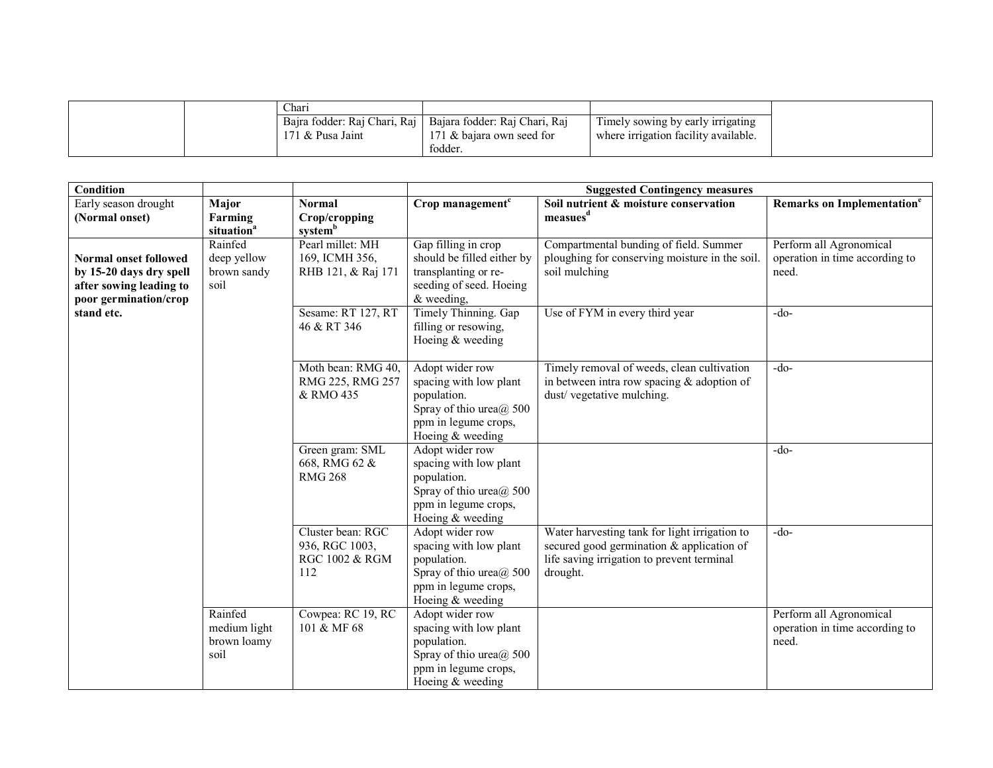|  | Chari                        |                               |                                      |
|--|------------------------------|-------------------------------|--------------------------------------|
|  | Baira fodder: Rai Chari, Rai | Bajara fodder: Raj Chari, Raj | Timely sowing by early irrigating    |
|  | 171 $&$ Pusa Jaint           | 171 & bajara own seed for     | where irrigation facility available. |
|  |                              | fodder                        |                                      |

| Condition                                                                                                   |                                                |                                                                         | <b>Suggested Contingency measures</b>                                                                                                   |                                                                                                                                                      |                                                                    |  |
|-------------------------------------------------------------------------------------------------------------|------------------------------------------------|-------------------------------------------------------------------------|-----------------------------------------------------------------------------------------------------------------------------------------|------------------------------------------------------------------------------------------------------------------------------------------------------|--------------------------------------------------------------------|--|
| Early season drought                                                                                        | Major                                          | <b>Normal</b>                                                           | Crop management $c$                                                                                                                     | Soil nutrient & moisture conservation<br>measues <sup>d</sup>                                                                                        | Remarks on Implementation <sup>e</sup>                             |  |
| (Normal onset)                                                                                              | Farming<br>situation <sup>a</sup>              | Crop/cropping<br>systemb                                                |                                                                                                                                         |                                                                                                                                                      |                                                                    |  |
| <b>Normal onset followed</b><br>by 15-20 days dry spell<br>after sowing leading to<br>poor germination/crop | Rainfed<br>deep yellow<br>brown sandy<br>soil  | Pearl millet: MH<br>169, ICMH 356,<br>RHB 121, & Raj 171                | Gap filling in crop<br>should be filled either by<br>transplanting or re-<br>seeding of seed. Hoeing<br>$&$ weeding,                    | Compartmental bunding of field. Summer<br>ploughing for conserving moisture in the soil.<br>soil mulching                                            | Perform all Agronomical<br>operation in time according to<br>need. |  |
| stand etc.                                                                                                  |                                                | Sesame: RT 127, RT<br>46 & RT 346                                       | Timely Thinning. Gap<br>filling or resowing,<br>Hoeing & weeding                                                                        | Use of FYM in every third year                                                                                                                       | $-do-$                                                             |  |
|                                                                                                             |                                                | Moth bean: RMG 40,<br>RMG 225, RMG 257<br>& RMO 435                     | Adopt wider row<br>spacing with low plant<br>population.<br>Spray of thio urea $\omega$ 500<br>ppm in legume crops,<br>Hoeing & weeding | Timely removal of weeds, clean cultivation<br>in between intra row spacing $&$ adoption of<br>dust/vegetative mulching.                              | $-do-$                                                             |  |
|                                                                                                             |                                                | Green gram: SML<br>668, RMG 62 &<br><b>RMG 268</b>                      | Adopt wider row<br>spacing with low plant<br>population.<br>Spray of thio urea@ 500<br>ppm in legume crops,<br>Hoeing & weeding         |                                                                                                                                                      | $-do-$                                                             |  |
|                                                                                                             |                                                | Cluster bean: RGC<br>936, RGC 1003,<br><b>RGC 1002 &amp; RGM</b><br>112 | Adopt wider row<br>spacing with low plant<br>population.<br>Spray of thio urea $\omega$ 500<br>ppm in legume crops,<br>Hoeing & weeding | Water harvesting tank for light irrigation to<br>secured good germination & application of<br>life saving irrigation to prevent terminal<br>drought. | $-do-$                                                             |  |
|                                                                                                             | Rainfed<br>medium light<br>brown loamy<br>soil | Cowpea: RC 19, RC<br>101 & MF 68                                        | Adopt wider row<br>spacing with low plant<br>population.<br>Spray of thio urea $\omega$ 500<br>ppm in legume crops,<br>Hoeing & weeding |                                                                                                                                                      | Perform all Agronomical<br>operation in time according to<br>need. |  |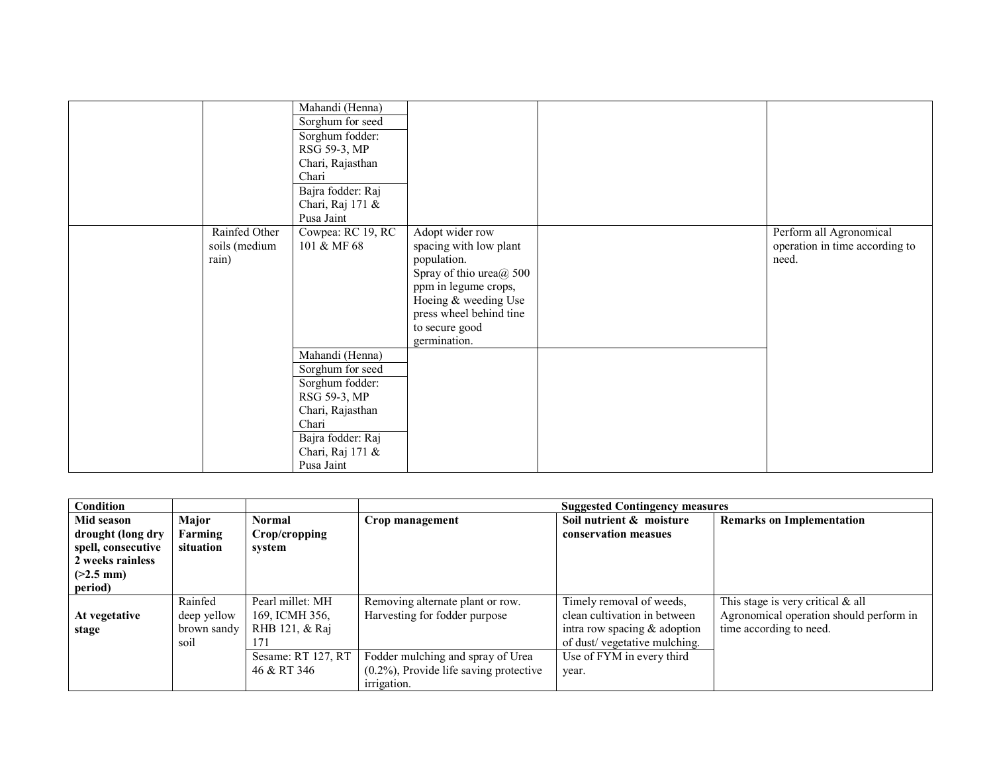|               | Mahandi (Henna)                                                                    |                         |                                |
|---------------|------------------------------------------------------------------------------------|-------------------------|--------------------------------|
|               | Sorghum for seed                                                                   |                         |                                |
|               | Sorghum fodder:                                                                    |                         |                                |
|               | RSG 59-3, MP                                                                       |                         |                                |
|               | Chari, Rajasthan                                                                   |                         |                                |
|               | Chari                                                                              |                         |                                |
|               | Bajra fodder: Raj                                                                  |                         |                                |
|               | Chari, Raj 171 &                                                                   |                         |                                |
|               | Pusa Jaint                                                                         |                         |                                |
| Rainfed Other | Cowpea: RC 19, RC                                                                  | Adopt wider row         | Perform all Agronomical        |
| soils (medium | 101 & MF 68                                                                        | spacing with low plant  | operation in time according to |
| rain)         |                                                                                    | population.             | need.                          |
|               |                                                                                    | Spray of thio urea@ 500 |                                |
|               |                                                                                    | ppm in legume crops,    |                                |
|               |                                                                                    | Hoeing & weeding Use    |                                |
|               |                                                                                    | press wheel behind tine |                                |
|               |                                                                                    | to secure good          |                                |
|               |                                                                                    | germination.            |                                |
|               | Mahandi (Henna)                                                                    |                         |                                |
|               | Sorghum for seed                                                                   |                         |                                |
|               | Sorghum fodder:                                                                    |                         |                                |
|               |                                                                                    |                         |                                |
|               |                                                                                    |                         |                                |
|               |                                                                                    |                         |                                |
|               |                                                                                    |                         |                                |
|               |                                                                                    |                         |                                |
|               | Pusa Jaint                                                                         |                         |                                |
|               | RSG 59-3, MP<br>Chari, Rajasthan<br>Chari<br>Bajra fodder: Raj<br>Chari, Raj 171 & |                         |                                |

| Condition                               |                      |                         |                                            | <b>Suggested Contingency measures</b> |                                         |
|-----------------------------------------|----------------------|-------------------------|--------------------------------------------|---------------------------------------|-----------------------------------------|
| Mid season                              | Major                | <b>Normal</b>           | Crop management                            | Soil nutrient & moisture              | <b>Remarks on Implementation</b>        |
| drought (long dry<br>spell, consecutive | Farming<br>situation | Crop/cropping<br>system |                                            | conservation measues                  |                                         |
| 2 weeks rainless                        |                      |                         |                                            |                                       |                                         |
| $(>2.5$ mm)                             |                      |                         |                                            |                                       |                                         |
| period)                                 |                      |                         |                                            |                                       |                                         |
|                                         | Rainfed              | Pearl millet: MH        | Removing alternate plant or row.           | Timely removal of weeds,              | This stage is very critical $\&$ all    |
| At vegetative                           | deep yellow          | 169, ICMH 356,          | Harvesting for fodder purpose              | clean cultivation in between          | Agronomical operation should perform in |
| stage                                   | brown sandy          | RHB 121, & Raj          |                                            | intra row spacing $&$ adoption        | time according to need.                 |
|                                         | soil                 | 171                     |                                            | of dust/vegetative mulching.          |                                         |
|                                         |                      | Sesame: RT 127, RT      | Fodder mulching and spray of Urea          | Use of FYM in every third             |                                         |
|                                         |                      | 46 & RT 346             | $(0.2\%)$ , Provide life saving protective | year.                                 |                                         |
|                                         |                      |                         | <i>irrigation.</i>                         |                                       |                                         |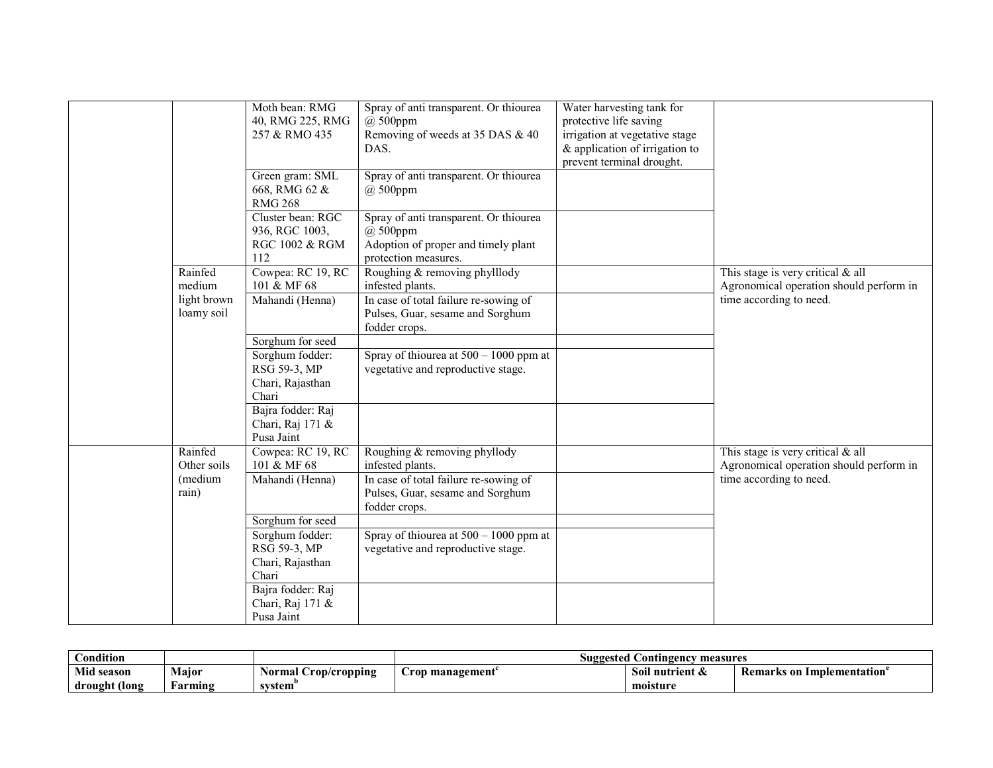|                   |                           | Moth bean: RMG<br>40, RMG 225, RMG<br>257 & RMO 435          | Spray of anti transparent. Or thiourea<br>$(a)$ 500ppm<br>Removing of weeds at 35 DAS & 40<br>DAS.                    | Water harvesting tank for<br>protective life saving<br>irrigation at vegetative stage<br>& application of irrigation to<br>prevent terminal drought. |                                                                                |
|-------------------|---------------------------|--------------------------------------------------------------|-----------------------------------------------------------------------------------------------------------------------|------------------------------------------------------------------------------------------------------------------------------------------------------|--------------------------------------------------------------------------------|
|                   |                           | Green gram: SML<br>668, RMG 62 &<br><b>RMG 268</b>           | Spray of anti transparent. Or thiourea<br>$(a)$ 500ppm                                                                |                                                                                                                                                      |                                                                                |
|                   |                           | Cluster bean: RGC<br>936, RGC 1003,<br>RGC 1002 & RGM<br>112 | Spray of anti transparent. Or thiourea<br>$(a)$ 500ppm<br>Adoption of proper and timely plant<br>protection measures. |                                                                                                                                                      |                                                                                |
| Rainfed<br>medium |                           | Cowpea: RC 19, RC<br>101 & MF 68                             | Roughing & removing phylllody<br>infested plants.                                                                     |                                                                                                                                                      | This stage is very critical $&$ all<br>Agronomical operation should perform in |
|                   | light brown<br>loamy soil | Mahandi (Henna)                                              | In case of total failure re-sowing of<br>Pulses, Guar, sesame and Sorghum<br>fodder crops.                            |                                                                                                                                                      | time according to need.                                                        |
|                   |                           | Sorghum for seed                                             |                                                                                                                       |                                                                                                                                                      |                                                                                |
|                   |                           | Sorghum fodder:<br>RSG 59-3, MP<br>Chari, Rajasthan          | Spray of thiourea at $500 - 1000$ ppm at<br>vegetative and reproductive stage.                                        |                                                                                                                                                      |                                                                                |
|                   |                           | Chari                                                        |                                                                                                                       |                                                                                                                                                      |                                                                                |
|                   |                           | Bajra fodder: Raj<br>Chari, Raj 171 &<br>Pusa Jaint          |                                                                                                                       |                                                                                                                                                      |                                                                                |
| Rainfed           |                           | Cowpea: RC 19, RC                                            | Roughing & removing phyllody                                                                                          |                                                                                                                                                      | This stage is very critical $\&$ all                                           |
|                   | Other soils<br>(medium    | 101 & MF 68<br>Mahandi (Henna)                               | infested plants.<br>In case of total failure re-sowing of                                                             |                                                                                                                                                      | Agronomical operation should perform in<br>time according to need.             |
| rain)             |                           |                                                              | Pulses, Guar, sesame and Sorghum<br>fodder crops.                                                                     |                                                                                                                                                      |                                                                                |
|                   |                           | Sorghum for seed                                             |                                                                                                                       |                                                                                                                                                      |                                                                                |
|                   |                           | Sorghum fodder:                                              | Spray of thiourea at $500 - 1000$ ppm at                                                                              |                                                                                                                                                      |                                                                                |
|                   |                           | RSG 59-3, MP                                                 | vegetative and reproductive stage.                                                                                    |                                                                                                                                                      |                                                                                |
|                   |                           | Chari, Rajasthan<br>Chari                                    |                                                                                                                       |                                                                                                                                                      |                                                                                |
|                   |                           | Bajra fodder: Raj                                            |                                                                                                                       |                                                                                                                                                      |                                                                                |
|                   |                           | Chari, Raj 171 &                                             |                                                                                                                       |                                                                                                                                                      |                                                                                |
|                   |                           | Pusa Jaint                                                   |                                                                                                                       |                                                                                                                                                      |                                                                                |

| Condition     |         |                      | <b>Suggested Contingency</b><br>measures |                 |                                              |
|---------------|---------|----------------------|------------------------------------------|-----------------|----------------------------------------------|
| Mid season    | Major   | Normal Crop/cropping | Urop management`                         | Soil nutrient & | <b>Remarks on Implementation<sup>e</sup></b> |
| drought (long | arming! | svstem               |                                          | moisture        |                                              |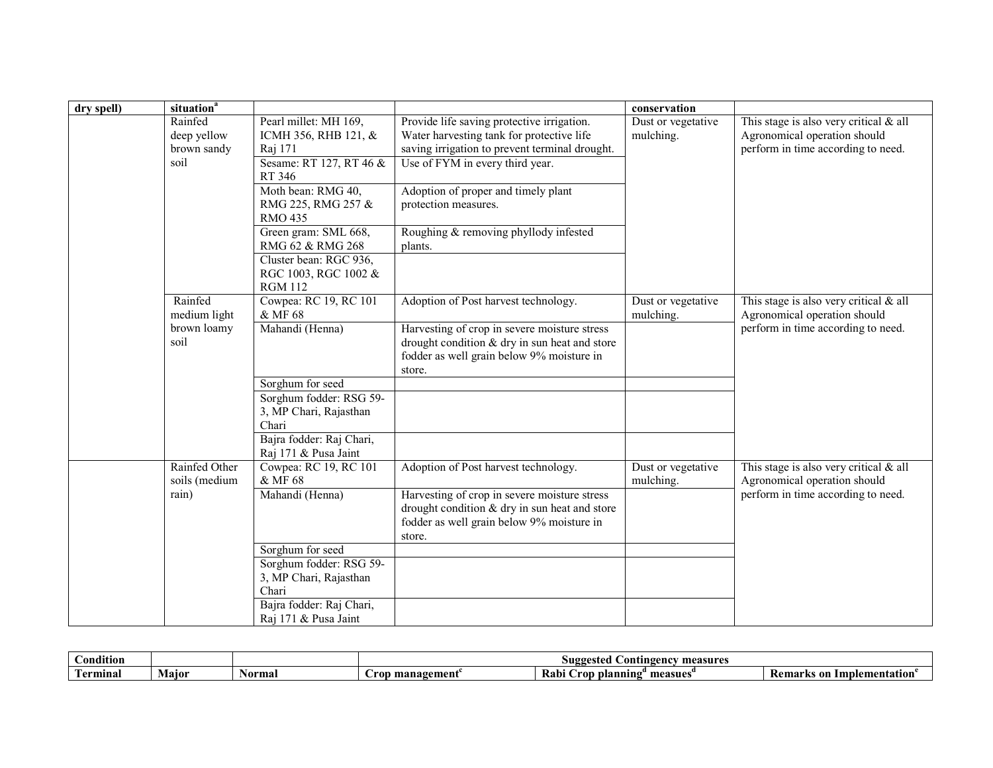| dry spell) | situation <sup>a</sup>                        |                                                                                                            |                                                                                                                                                                              | conservation                    |                                                                                                                |
|------------|-----------------------------------------------|------------------------------------------------------------------------------------------------------------|------------------------------------------------------------------------------------------------------------------------------------------------------------------------------|---------------------------------|----------------------------------------------------------------------------------------------------------------|
|            | Rainfed<br>deep yellow<br>brown sandy<br>soil | Pearl millet: MH 169,<br>ICMH 356, RHB 121, &<br>Raj 171<br>Sesame: RT 127, RT 46 &<br>RT 346              | Provide life saving protective irrigation.<br>Water harvesting tank for protective life<br>saving irrigation to prevent terminal drought.<br>Use of FYM in every third year. | Dust or vegetative<br>mulching. | This stage is also very critical $&$ all<br>Agronomical operation should<br>perform in time according to need. |
|            |                                               | Moth bean: RMG 40,<br>RMG 225, RMG 257 &<br><b>RMO 435</b>                                                 | Adoption of proper and timely plant<br>protection measures.                                                                                                                  |                                 |                                                                                                                |
|            |                                               | Green gram: SML 668,<br>RMG 62 & RMG 268                                                                   | Roughing & removing phyllody infested<br>plants.                                                                                                                             |                                 |                                                                                                                |
|            |                                               | Cluster bean: RGC 936,<br>RGC 1003, RGC 1002 &<br><b>RGM 112</b>                                           |                                                                                                                                                                              |                                 |                                                                                                                |
|            | Rainfed<br>medium light                       | Cowpea: RC 19, RC 101<br>& MF 68                                                                           | Adoption of Post harvest technology.                                                                                                                                         | Dust or vegetative<br>mulching. | This stage is also very critical $&$ all<br>Agronomical operation should                                       |
|            | brown loamy<br>soil                           | Mahandi (Henna)                                                                                            | Harvesting of crop in severe moisture stress<br>drought condition & dry in sun heat and store<br>fodder as well grain below 9% moisture in<br>store.                         |                                 | perform in time according to need.                                                                             |
|            |                                               | Sorghum for seed<br>Sorghum fodder: RSG 59-<br>3, MP Chari, Rajasthan<br>Chari<br>Bajra fodder: Raj Chari, |                                                                                                                                                                              |                                 |                                                                                                                |
|            |                                               | Raj 171 & Pusa Jaint                                                                                       |                                                                                                                                                                              |                                 |                                                                                                                |
|            | Rainfed Other<br>soils (medium                | Cowpea: RC 19, RC 101<br>& MF 68                                                                           | Adoption of Post harvest technology.                                                                                                                                         | Dust or vegetative<br>mulching. | This stage is also very critical $&$ all<br>Agronomical operation should                                       |
|            | rain)                                         | Mahandi (Henna)                                                                                            | Harvesting of crop in severe moisture stress<br>drought condition $&$ dry in sun heat and store<br>fodder as well grain below 9% moisture in<br>store.                       |                                 | perform in time according to need.                                                                             |
|            |                                               | Sorghum for seed<br>Sorghum fodder: RSG 59-<br>3, MP Chari, Rajasthan<br>Chari                             |                                                                                                                                                                              |                                 |                                                                                                                |
|            |                                               | Bajra fodder: Raj Chari,<br>Raj 171 & Pusa Jaint                                                           |                                                                                                                                                                              |                                 |                                                                                                                |

| .<br>ondition  |       |        | measures<br>Suggested<br>ontingency_<br>$\sim$ |                                    |                                        |
|----------------|-------|--------|------------------------------------------------|------------------------------------|----------------------------------------|
| <b>erminal</b> | Maior | Normal | management<br>_rop_                            | Rabi<br>measues<br>planning<br>ron | Implementation<br>⊙n<br><b>Remarks</b> |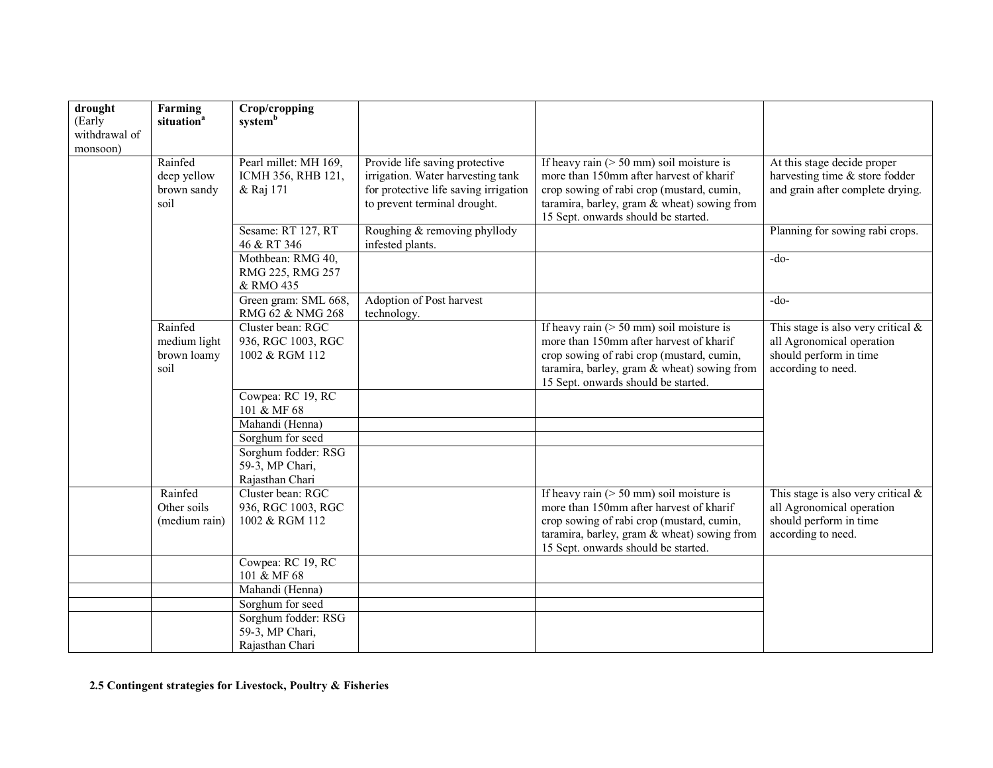| drought<br>(Early<br>withdrawal of<br>monsoon) | Farming<br>situation <sup>a</sup>              | Crop/cropping<br>systemb                                                                                                             |                                                                                                                                              |                                                                                                                                                                                                                           |                                                                                                                    |
|------------------------------------------------|------------------------------------------------|--------------------------------------------------------------------------------------------------------------------------------------|----------------------------------------------------------------------------------------------------------------------------------------------|---------------------------------------------------------------------------------------------------------------------------------------------------------------------------------------------------------------------------|--------------------------------------------------------------------------------------------------------------------|
|                                                | Rainfed<br>deep yellow<br>brown sandy<br>soil  | Pearl millet: MH 169,<br>ICMH 356, RHB 121,<br>& Raj 171                                                                             | Provide life saving protective<br>irrigation. Water harvesting tank<br>for protective life saving irrigation<br>to prevent terminal drought. | If heavy rain ( $> 50$ mm) soil moisture is<br>more than 150mm after harvest of kharif<br>crop sowing of rabi crop (mustard, cumin,<br>taramira, barley, gram & wheat) sowing from<br>15 Sept. onwards should be started. | At this stage decide proper<br>harvesting time & store fodder<br>and grain after complete drying.                  |
|                                                |                                                | Sesame: RT 127, RT<br>46 & RT 346                                                                                                    | Roughing & removing phyllody<br>infested plants.                                                                                             |                                                                                                                                                                                                                           | Planning for sowing rabi crops.                                                                                    |
|                                                |                                                | Mothbean: RMG 40,<br>RMG 225, RMG 257<br>& RMO 435                                                                                   |                                                                                                                                              |                                                                                                                                                                                                                           | $-do-$                                                                                                             |
|                                                |                                                | Green gram: SML 668,<br>RMG 62 & NMG 268                                                                                             | Adoption of Post harvest<br>technology.                                                                                                      |                                                                                                                                                                                                                           | $-do-$                                                                                                             |
|                                                | Rainfed<br>medium light<br>brown loamy<br>soil | Cluster bean: RGC<br>936, RGC 1003, RGC<br>1002 & RGM 112<br>Cowpea: RC 19, RC<br>101 & MF 68<br>Mahandi (Henna)<br>Sorghum for seed |                                                                                                                                              | If heavy rain $($ > 50 mm) soil moisture is<br>more than 150mm after harvest of kharif<br>crop sowing of rabi crop (mustard, cumin,<br>taramira, barley, gram & wheat) sowing from<br>15 Sept. onwards should be started. | This stage is also very critical $\&$<br>all Agronomical operation<br>should perform in time<br>according to need. |
|                                                |                                                | Sorghum fodder: RSG<br>59-3, MP Chari,<br>Rajasthan Chari                                                                            |                                                                                                                                              |                                                                                                                                                                                                                           |                                                                                                                    |
|                                                | Rainfed<br>Other soils<br>(medium rain)        | Cluster bean: RGC<br>936, RGC 1003, RGC<br>1002 & RGM 112                                                                            |                                                                                                                                              | If heavy rain $($ > 50 mm) soil moisture is<br>more than 150mm after harvest of kharif<br>crop sowing of rabi crop (mustard, cumin,<br>taramira, barley, gram & wheat) sowing from<br>15 Sept. onwards should be started. | This stage is also very critical $\&$<br>all Agronomical operation<br>should perform in time<br>according to need. |
|                                                |                                                | Cowpea: RC 19, RC<br>101 & MF 68                                                                                                     |                                                                                                                                              |                                                                                                                                                                                                                           |                                                                                                                    |
|                                                |                                                | Mahandi (Henna)                                                                                                                      |                                                                                                                                              |                                                                                                                                                                                                                           |                                                                                                                    |
|                                                |                                                | Sorghum for seed<br>Sorghum fodder: RSG                                                                                              |                                                                                                                                              |                                                                                                                                                                                                                           |                                                                                                                    |
|                                                |                                                | 59-3, MP Chari,<br>Rajasthan Chari                                                                                                   |                                                                                                                                              |                                                                                                                                                                                                                           |                                                                                                                    |

2.5 Contingent strategies for Livestock, Poultry & Fisheries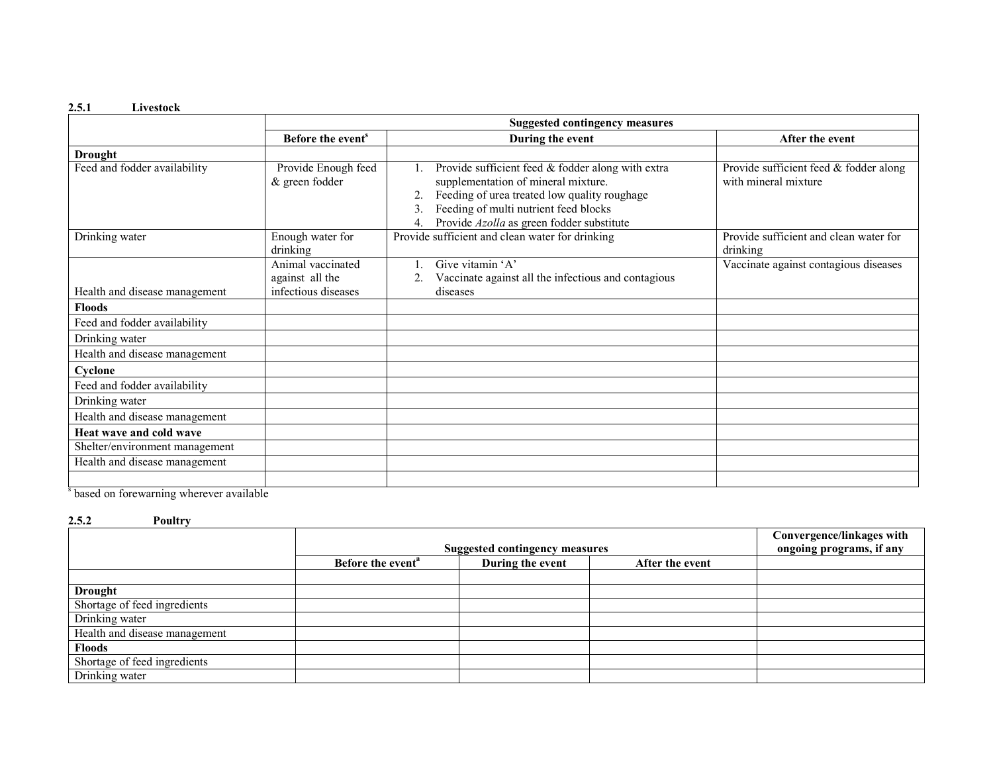#### 2.5.1 Livestock

|                                |                                                             | <b>Suggested contingency measures</b>                                                                                                                                                                                                |                                                                |  |  |  |
|--------------------------------|-------------------------------------------------------------|--------------------------------------------------------------------------------------------------------------------------------------------------------------------------------------------------------------------------------------|----------------------------------------------------------------|--|--|--|
|                                | Before the event <sup>s</sup>                               | During the event                                                                                                                                                                                                                     | After the event                                                |  |  |  |
| <b>Drought</b>                 |                                                             |                                                                                                                                                                                                                                      |                                                                |  |  |  |
| Feed and fodder availability   | Provide Enough feed<br>$&$ green fodder                     | Provide sufficient feed & fodder along with extra<br>supplementation of mineral mixture.<br>Feeding of urea treated low quality roughage<br>Feeding of multi nutrient feed blocks<br>Provide Azolla as green fodder substitute<br>4. | Provide sufficient feed & fodder along<br>with mineral mixture |  |  |  |
| Drinking water                 | Enough water for<br>drinking                                | Provide sufficient and clean water for drinking                                                                                                                                                                                      | Provide sufficient and clean water for<br>drinking             |  |  |  |
| Health and disease management  | Animal vaccinated<br>against all the<br>infectious diseases | Give vitamin 'A'<br>Vaccinate against all the infectious and contagious<br>diseases                                                                                                                                                  | Vaccinate against contagious diseases                          |  |  |  |
| <b>Floods</b>                  |                                                             |                                                                                                                                                                                                                                      |                                                                |  |  |  |
| Feed and fodder availability   |                                                             |                                                                                                                                                                                                                                      |                                                                |  |  |  |
| Drinking water                 |                                                             |                                                                                                                                                                                                                                      |                                                                |  |  |  |
| Health and disease management  |                                                             |                                                                                                                                                                                                                                      |                                                                |  |  |  |
| Cyclone                        |                                                             |                                                                                                                                                                                                                                      |                                                                |  |  |  |
| Feed and fodder availability   |                                                             |                                                                                                                                                                                                                                      |                                                                |  |  |  |
| Drinking water                 |                                                             |                                                                                                                                                                                                                                      |                                                                |  |  |  |
| Health and disease management  |                                                             |                                                                                                                                                                                                                                      |                                                                |  |  |  |
| Heat wave and cold wave        |                                                             |                                                                                                                                                                                                                                      |                                                                |  |  |  |
| Shelter/environment management |                                                             |                                                                                                                                                                                                                                      |                                                                |  |  |  |
| Health and disease management  |                                                             |                                                                                                                                                                                                                                      |                                                                |  |  |  |
| $S_1$ 1 $C_2$ 1 1 11           |                                                             |                                                                                                                                                                                                                                      |                                                                |  |  |  |

s based on forewarning wherever available

#### 2.5.2 Poultry

|                               |                               | Convergence/linkages with             |                 |                          |
|-------------------------------|-------------------------------|---------------------------------------|-----------------|--------------------------|
|                               |                               | <b>Suggested contingency measures</b> |                 | ongoing programs, if any |
|                               | Before the event <sup>a</sup> | During the event                      | After the event |                          |
|                               |                               |                                       |                 |                          |
| <b>Drought</b>                |                               |                                       |                 |                          |
| Shortage of feed ingredients  |                               |                                       |                 |                          |
| Drinking water                |                               |                                       |                 |                          |
| Health and disease management |                               |                                       |                 |                          |
| <b>Floods</b>                 |                               |                                       |                 |                          |
| Shortage of feed ingredients  |                               |                                       |                 |                          |
| Drinking water                |                               |                                       |                 |                          |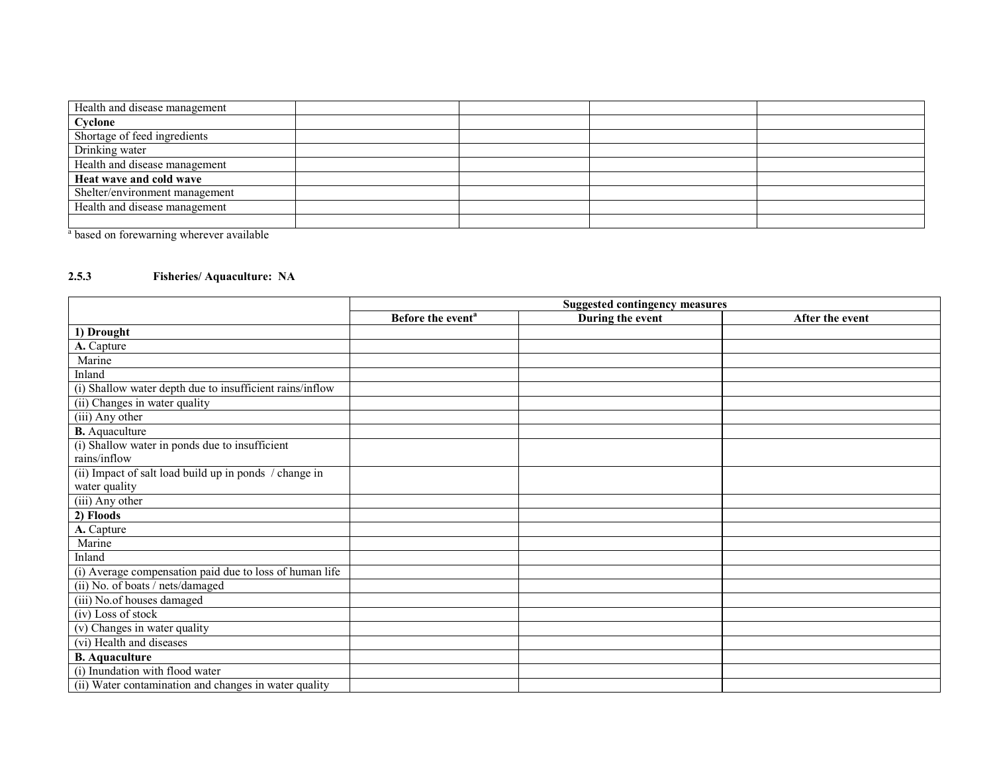| Health and disease management  |  |  |
|--------------------------------|--|--|
| Cyclone                        |  |  |
| Shortage of feed ingredients   |  |  |
| Drinking water                 |  |  |
| Health and disease management  |  |  |
| Heat wave and cold wave        |  |  |
| Shelter/environment management |  |  |
| Health and disease management  |  |  |
|                                |  |  |

<sup>a</sup> based on forewarning wherever available

## 2.5.3 Fisheries/ Aquaculture: NA

|                                                          | <b>Suggested contingency measures</b> |                  |                 |  |  |
|----------------------------------------------------------|---------------------------------------|------------------|-----------------|--|--|
|                                                          | Before the event <sup>a</sup>         | During the event | After the event |  |  |
| 1) Drought                                               |                                       |                  |                 |  |  |
| A. Capture                                               |                                       |                  |                 |  |  |
| Marine                                                   |                                       |                  |                 |  |  |
| Inland                                                   |                                       |                  |                 |  |  |
| (i) Shallow water depth due to insufficient rains/inflow |                                       |                  |                 |  |  |
| $(i)$ Changes in water quality                           |                                       |                  |                 |  |  |
| (iii) Any other                                          |                                       |                  |                 |  |  |
| <b>B.</b> Aquaculture                                    |                                       |                  |                 |  |  |
| (i) Shallow water in ponds due to insufficient           |                                       |                  |                 |  |  |
| rains/inflow                                             |                                       |                  |                 |  |  |
| (ii) Impact of salt load build up in ponds / change in   |                                       |                  |                 |  |  |
| water quality                                            |                                       |                  |                 |  |  |
| (iii) Any other                                          |                                       |                  |                 |  |  |
| 2) Floods                                                |                                       |                  |                 |  |  |
| A. Capture                                               |                                       |                  |                 |  |  |
| Marine                                                   |                                       |                  |                 |  |  |
| Inland                                                   |                                       |                  |                 |  |  |
| (i) Average compensation paid due to loss of human life  |                                       |                  |                 |  |  |
| (ii) No. of boats / nets/damaged                         |                                       |                  |                 |  |  |
| (iii) No.of houses damaged                               |                                       |                  |                 |  |  |
| (iv) Loss of stock                                       |                                       |                  |                 |  |  |
| (v) Changes in water quality                             |                                       |                  |                 |  |  |
| (vi) Health and diseases                                 |                                       |                  |                 |  |  |
| <b>B.</b> Aquaculture                                    |                                       |                  |                 |  |  |
| (i) Inundation with flood water                          |                                       |                  |                 |  |  |
| (ii) Water contamination and changes in water quality    |                                       |                  |                 |  |  |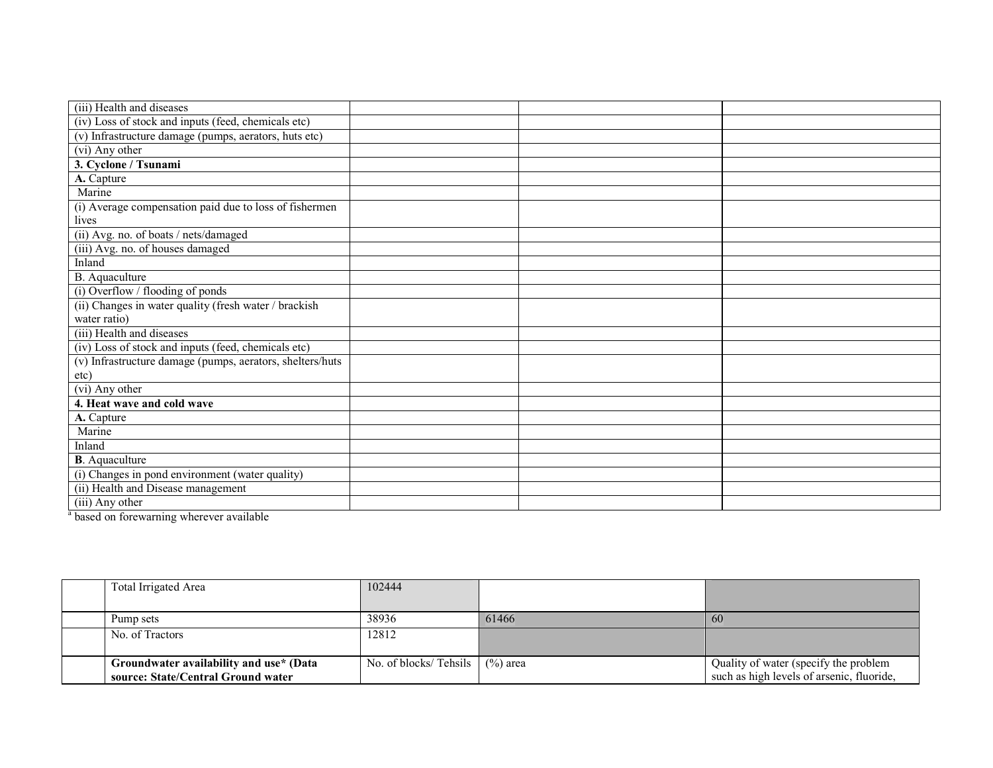| (iv) Loss of stock and inputs (feed, chemicals etc)<br>(v) Infrastructure damage (pumps, aerators, huts etc)<br>(vi) Any other<br>3. Cyclone / Tsunami<br>A. Capture<br>Marine<br>(i) Average compensation paid due to loss of fishermen<br>lives<br>(ii) Avg. no. of boats / nets/damaged<br>(iii) Avg. no. of houses damaged<br>Inland<br>B. Aquaculture<br>(i) Overflow / flooding of ponds<br>(ii) Changes in water quality (fresh water / brackish<br>water ratio)<br>(iii) Health and diseases<br>(iv) Loss of stock and inputs (feed, chemicals etc)<br>(v) Infrastructure damage (pumps, aerators, shelters/huts<br>etc)<br>(vi) Any other<br>4. Heat wave and cold wave |
|----------------------------------------------------------------------------------------------------------------------------------------------------------------------------------------------------------------------------------------------------------------------------------------------------------------------------------------------------------------------------------------------------------------------------------------------------------------------------------------------------------------------------------------------------------------------------------------------------------------------------------------------------------------------------------|
|                                                                                                                                                                                                                                                                                                                                                                                                                                                                                                                                                                                                                                                                                  |
|                                                                                                                                                                                                                                                                                                                                                                                                                                                                                                                                                                                                                                                                                  |
|                                                                                                                                                                                                                                                                                                                                                                                                                                                                                                                                                                                                                                                                                  |
|                                                                                                                                                                                                                                                                                                                                                                                                                                                                                                                                                                                                                                                                                  |
|                                                                                                                                                                                                                                                                                                                                                                                                                                                                                                                                                                                                                                                                                  |
|                                                                                                                                                                                                                                                                                                                                                                                                                                                                                                                                                                                                                                                                                  |
|                                                                                                                                                                                                                                                                                                                                                                                                                                                                                                                                                                                                                                                                                  |
|                                                                                                                                                                                                                                                                                                                                                                                                                                                                                                                                                                                                                                                                                  |
|                                                                                                                                                                                                                                                                                                                                                                                                                                                                                                                                                                                                                                                                                  |
|                                                                                                                                                                                                                                                                                                                                                                                                                                                                                                                                                                                                                                                                                  |
|                                                                                                                                                                                                                                                                                                                                                                                                                                                                                                                                                                                                                                                                                  |
|                                                                                                                                                                                                                                                                                                                                                                                                                                                                                                                                                                                                                                                                                  |
|                                                                                                                                                                                                                                                                                                                                                                                                                                                                                                                                                                                                                                                                                  |
|                                                                                                                                                                                                                                                                                                                                                                                                                                                                                                                                                                                                                                                                                  |
|                                                                                                                                                                                                                                                                                                                                                                                                                                                                                                                                                                                                                                                                                  |
|                                                                                                                                                                                                                                                                                                                                                                                                                                                                                                                                                                                                                                                                                  |
|                                                                                                                                                                                                                                                                                                                                                                                                                                                                                                                                                                                                                                                                                  |
|                                                                                                                                                                                                                                                                                                                                                                                                                                                                                                                                                                                                                                                                                  |
|                                                                                                                                                                                                                                                                                                                                                                                                                                                                                                                                                                                                                                                                                  |
|                                                                                                                                                                                                                                                                                                                                                                                                                                                                                                                                                                                                                                                                                  |
|                                                                                                                                                                                                                                                                                                                                                                                                                                                                                                                                                                                                                                                                                  |
| A. Capture                                                                                                                                                                                                                                                                                                                                                                                                                                                                                                                                                                                                                                                                       |
| Marine                                                                                                                                                                                                                                                                                                                                                                                                                                                                                                                                                                                                                                                                           |
| Inland                                                                                                                                                                                                                                                                                                                                                                                                                                                                                                                                                                                                                                                                           |
| <b>B</b> . Aquaculture                                                                                                                                                                                                                                                                                                                                                                                                                                                                                                                                                                                                                                                           |
| (i) Changes in pond environment (water quality)                                                                                                                                                                                                                                                                                                                                                                                                                                                                                                                                                                                                                                  |
| (ii) Health and Disease management                                                                                                                                                                                                                                                                                                                                                                                                                                                                                                                                                                                                                                               |
| (iii) Any other<br>$\sim$ $\sim$<br>$\sim$<br>11.11<br>$\sim$                                                                                                                                                                                                                                                                                                                                                                                                                                                                                                                                                                                                                    |

<sup>a</sup> based on forewarning wherever available

| Total Irrigated Area                                                          | 102444                            |       |                                                                                    |
|-------------------------------------------------------------------------------|-----------------------------------|-------|------------------------------------------------------------------------------------|
| Pump sets                                                                     | 38936                             | 61466 | 60                                                                                 |
| No. of Tractors                                                               | 12812                             |       |                                                                                    |
| Groundwater availability and use* (Data<br>source: State/Central Ground water | No. of blocks/ Tehsils $(%)$ area |       | Quality of water (specify the problem<br>such as high levels of arsenic, fluoride, |